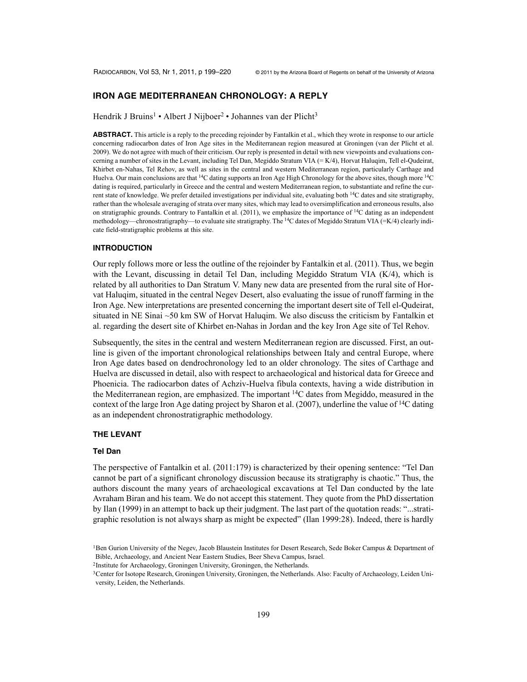# **IRON AGE MEDITERRANEAN CHRONOLOGY: A REPLY**

Hendrik J Bruins<sup>1</sup> • Albert J Nijboer<sup>2</sup> • Johannes van der Plicht<sup>3</sup>

**ABSTRACT.** This article is a reply to the preceding rejoinder by Fantalkin et al., which they wrote in response to our article concerning radiocarbon dates of Iron Age sites in the Mediterranean region measured at Groningen (van der Plicht et al. 2009). We do not agree with much of their criticism. Our reply is presented in detail with new viewpoints and evaluations concerning a number of sites in the Levant, including Tel Dan, Megiddo Stratum VIA (= K/4), Horvat Haluqim, Tell el-Qudeirat, Khirbet en-Nahas, Tel Rehov, as well as sites in the central and western Mediterranean region, particularly Carthage and Huelva. Our main conclusions are that <sup>14</sup>C dating supports an Iron Age High Chronology for the above sites, though more <sup>14</sup>C dating is required, particularly in Greece and the central and western Mediterranean region, to substantiate and refine the current state of knowledge. We prefer detailed investigations per individual site, evaluating both 14C dates and site stratigraphy, rather than the wholesale averaging of strata over many sites, which may lead to oversimplification and erroneous results, also on stratigraphic grounds. Contrary to Fantalkin et al. (2011), we emphasize the importance of 14C dating as an independent methodology—chronostratigraphy—to evaluate site stratigraphy. The <sup>14</sup>C dates of Megiddo Stratum VIA (=K/4) clearly indicate field-stratigraphic problems at this site.

#### **INTRODUCTION**

Our reply follows more or less the outline of the rejoinder by Fantalkin et al. (2011). Thus, we begin with the Levant, discussing in detail Tel Dan, including Megiddo Stratum VIA (K/4), which is related by all authorities to Dan Stratum V. Many new data are presented from the rural site of Horvat Haluqim, situated in the central Negev Desert, also evaluating the issue of runoff farming in the Iron Age. New interpretations are presented concerning the important desert site of Tell el-Qudeirat, situated in NE Sinai ~50 km SW of Horvat Haluqim. We also discuss the criticism by Fantalkin et al. regarding the desert site of Khirbet en-Nahas in Jordan and the key Iron Age site of Tel Rehov.

Subsequently, the sites in the central and western Mediterranean region are discussed. First, an outline is given of the important chronological relationships between Italy and central Europe, where Iron Age dates based on dendrochronology led to an older chronology. The sites of Carthage and Huelva are discussed in detail, also with respect to archaeological and historical data for Greece and Phoenicia. The radiocarbon dates of Achziv-Huelva fibula contexts, having a wide distribution in the Mediterranean region, are emphasized. The important  $14C$  dates from Megiddo, measured in the context of the large Iron Age dating project by Sharon et al. (2007), underline the value of  $14C$  dating as an independent chronostratigraphic methodology.

#### **THE LEVANT**

#### **Tel Dan**

The perspective of Fantalkin et al. (2011:179) is characterized by their opening sentence: "Tel Dan cannot be part of a significant chronology discussion because its stratigraphy is chaotic." Thus, the authors discount the many years of archaeological excavations at Tel Dan conducted by the late Avraham Biran and his team. We do not accept this statement. They quote from the PhD dissertation by Ilan (1999) in an attempt to back up their judgment. The last part of the quotation reads: "...stratigraphic resolution is not always sharp as might be expected" (Ilan 1999:28). Indeed, there is hardly

<sup>&</sup>lt;sup>1</sup>Ben Gurion University of the Negev, Jacob Blaustein Institutes for Desert Research, Sede Boker Campus & Department of Bible, Archaeology, and Ancient Near Eastern Studies, Beer Sheva Campus, Israel.

<sup>2</sup>Institute for Archaeology, Groningen University, Groningen, the Netherlands.

<sup>3</sup>Center for Isotope Research, Groningen University, Groningen, the Netherlands. Also: Faculty of Archaeology, Leiden University, Leiden, the Netherlands.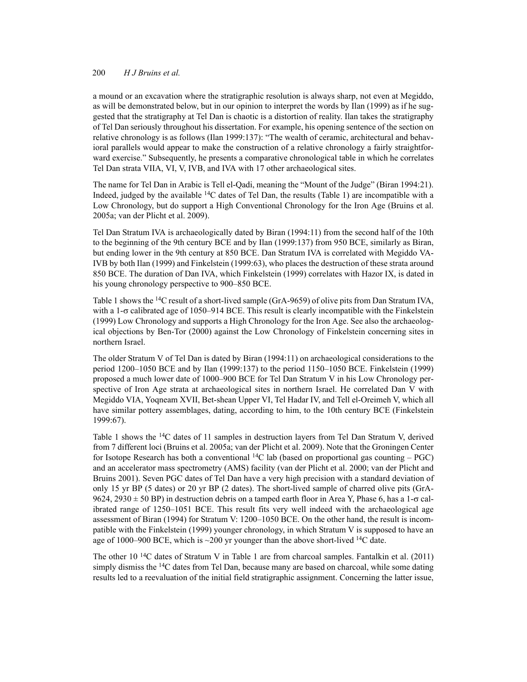a mound or an excavation where the stratigraphic resolution is always sharp, not even at Megiddo, as will be demonstrated below, but in our opinion to interpret the words by Ilan (1999) as if he suggested that the stratigraphy at Tel Dan is chaotic is a distortion of reality. Ilan takes the stratigraphy of Tel Dan seriously throughout his dissertation. For example, his opening sentence of the section on relative chronology is as follows (Ilan 1999:137): "The wealth of ceramic, architectural and behavioral parallels would appear to make the construction of a relative chronology a fairly straightforward exercise." Subsequently, he presents a comparative chronological table in which he correlates Tel Dan strata VIIA, VI, V, IVB, and IVA with 17 other archaeological sites.

The name for Tel Dan in Arabic is Tell el-Qadi, meaning the "Mount of the Judge" (Biran 1994:21). Indeed, judged by the available 14C dates of Tel Dan, the results (Table 1) are incompatible with a Low Chronology, but do support a High Conventional Chronology for the Iron Age (Bruins et al. 2005a; van der Plicht et al. 2009).

Tel Dan Stratum IVA is archaeologically dated by Biran (1994:11) from the second half of the 10th to the beginning of the 9th century BCE and by Ilan (1999:137) from 950 BCE, similarly as Biran, but ending lower in the 9th century at 850 BCE. Dan Stratum IVA is correlated with Megiddo VA-IVB by both Ilan (1999) and Finkelstein (1999:63), who places the destruction of these strata around 850 BCE. The duration of Dan IVA, which Finkelstein (1999) correlates with Hazor IX, is dated in his young chronology perspective to 900–850 BCE.

Table 1 shows the <sup>14</sup>C result of a short-lived sample (GrA-9659) of olive pits from Dan Stratum IVA, with a  $1-\sigma$  calibrated age of 1050–914 BCE. This result is clearly incompatible with the Finkelstein (1999) Low Chronology and supports a High Chronology for the Iron Age. See also the archaeological objections by Ben-Tor (2000) against the Low Chronology of Finkelstein concerning sites in northern Israel.

The older Stratum V of Tel Dan is dated by Biran (1994:11) on archaeological considerations to the period 1200–1050 BCE and by Ilan (1999:137) to the period 1150–1050 BCE. Finkelstein (1999) proposed a much lower date of 1000–900 BCE for Tel Dan Stratum V in his Low Chronology perspective of Iron Age strata at archaeological sites in northern Israel. He correlated Dan V with Megiddo VIA, Yoqneam XVII, Bet-shean Upper VI, Tel Hadar IV, and Tell el-Oreimeh V, which all have similar pottery assemblages, dating, according to him, to the 10th century BCE (Finkelstein 1999:67).

Table 1 shows the 14C dates of 11 samples in destruction layers from Tel Dan Stratum V, derived from 7 different loci (Bruins et al. 2005a; van der Plicht et al. 2009). Note that the Groningen Center for Isotope Research has both a conventional  $\frac{14C}{a}$  lab (based on proportional gas counting – PGC) and an accelerator mass spectrometry (AMS) facility (van der Plicht et al. 2000; van der Plicht and Bruins 2001). Seven PGC dates of Tel Dan have a very high precision with a standard deviation of only 15 yr BP (5 dates) or 20 yr BP (2 dates). The short-lived sample of charred olive pits (GrA- $9624$ ,  $2930 \pm 50$  BP) in destruction debris on a tamped earth floor in Area Y, Phase 6, has a 1- $\sigma$  calibrated range of 1250–1051 BCE. This result fits very well indeed with the archaeological age assessment of Biran (1994) for Stratum V: 1200–1050 BCE. On the other hand, the result is incompatible with the Finkelstein (1999) younger chronology, in which Stratum V is supposed to have an age of 1000–900 BCE, which is  $\sim$ 200 yr younger than the above short-lived  $^{14}C$  date.

The other 10 14C dates of Stratum V in Table 1 are from charcoal samples. Fantalkin et al. (2011) simply dismiss the <sup>14</sup>C dates from Tel Dan, because many are based on charcoal, while some dating results led to a reevaluation of the initial field stratigraphic assignment. Concerning the latter issue,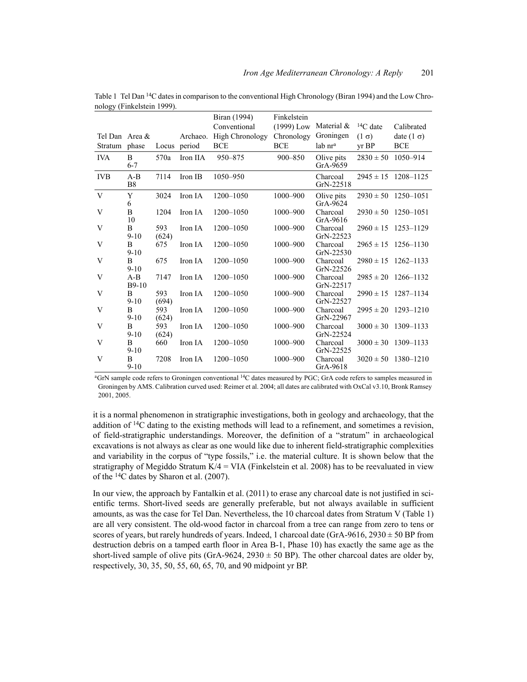|                |                          |              |              | Biran (1994)           | Finkelstein  |                          |                 |                         |
|----------------|--------------------------|--------------|--------------|------------------------|--------------|--------------------------|-----------------|-------------------------|
|                |                          |              |              | Conventional           | $(1999)$ Low | Material &               | ${}^{14}C$ date | Calibrated              |
| Tel Dan Area & |                          |              | Archaeo.     | <b>High Chronology</b> | Chronology   | Groningen                | $(1 \sigma)$    | date $(1 \sigma)$       |
| Stratum        | phase                    |              | Locus period | <b>BCE</b>             | <b>BCE</b>   | lab nr <sup>a</sup>      | $vr$ BP         | <b>BCE</b>              |
| <b>IVA</b>     | B<br>$6 - 7$             | 570a         | Iron IIA     | 950-875                | 900-850      | Olive pits<br>GrA-9659   | $2830 \pm 50$   | 1050-914                |
| <b>IVB</b>     | $A-B$<br><b>B8</b>       | 7114         | Iron IB      | 1050-950               |              | Charcoal<br>GrN-22518    |                 | $2945 \pm 15$ 1208-1125 |
| V              | Y<br>6                   | 3024         | Iron IA      | 1200-1050              | 1000-900     | Olive pits<br>$GrA-9624$ |                 | $2930 \pm 50$ 1250-1051 |
| V              | B<br>10                  | 1204         | Iron IA      | 1200-1050              | 1000-900     | Charcoal<br>GrA-9616     | $2930 \pm 50$   | 1250-1051               |
| V              | B<br>$9 - 10$            | 593<br>(624) | Iron IA      | 1200-1050              | 1000-900     | Charcoal<br>GrN-22523    |                 | $2960 \pm 15$ 1253-1129 |
| V              | B<br>$9 - 10$            | 675          | Iron IA      | 1200-1050              | 1000-900     | Charcoal<br>GrN-22530    | $2965 \pm 15$   | 1256–1130               |
| V              | B<br>$9 - 10$            | 675          | Iron IA      | 1200-1050              | $1000 - 900$ | Charcoal<br>GrN-22526    | $2980 \pm 15$   | 1262–1133               |
| V              | $A-B$<br>$B9-10$         | 7147         | Iron IA      | 1200-1050              | 1000-900     | Charcoal<br>GrN-22517    | $2985 \pm 20$   | 1266–1132               |
| V              | B<br>$9 - 10$            | 593<br>(694) | Iron IA      | 1200-1050              | 1000-900     | Charcoal<br>GrN-22527    | $2990 \pm 15$   | 1287-1134               |
| V              | $\overline{B}$<br>$9-10$ | 593<br>(624) | Iron IA      | 1200-1050              | 1000-900     | Charcoal<br>GrN-22967    | $2995 \pm 20$   | 1293-1210               |
| V              | B<br>$9 - 10$            | 593<br>(624) | Iron IA      | 1200-1050              | 1000-900     | Charcoal<br>GrN-22524    | $3000 \pm 30$   | 1309-1133               |
| V              | B<br>$9 - 10$            | 660          | Iron IA      | 1200-1050              | 1000-900     | Charcoal<br>GrN-22525    | $3000 \pm 30$   | 1309-1133               |
| V              | B<br>$9 - 10$            | 7208         | Iron IA      | 1200-1050              | 1000-900     | Charcoal<br>GrA-9618     | $3020 \pm 50$   | 1380-1210               |

Table 1 Tel Dan 14C dates in comparison to the conventional High Chronology (Biran 1994) and the Low Chronology (Finkelstein 1999).

<sup>a</sup>GrN sample code refers to Groningen conventional <sup>14</sup>C dates measured by PGC; GrA code refers to samples measured in Groningen by AMS. Calibration curved used: Reimer et al. 2004; all dates are calibrated with OxCal v3.10, Bronk Ramsey 2001, 2005.

it is a normal phenomenon in stratigraphic investigations, both in geology and archaeology, that the addition of 14C dating to the existing methods will lead to a refinement, and sometimes a revision, of field-stratigraphic understandings. Moreover, the definition of a "stratum" in archaeological excavations is not always as clear as one would like due to inherent field-stratigraphic complexities and variability in the corpus of "type fossils," i.e. the material culture. It is shown below that the stratigraphy of Megiddo Stratum  $K/4 = VIA$  (Finkelstein et al. 2008) has to be reevaluated in view of the 14C dates by Sharon et al. (2007).

In our view, the approach by Fantalkin et al. (2011) to erase any charcoal date is not justified in scientific terms. Short-lived seeds are generally preferable, but not always available in sufficient amounts, as was the case for Tel Dan. Nevertheless, the 10 charcoal dates from Stratum V (Table 1) are all very consistent. The old-wood factor in charcoal from a tree can range from zero to tens or scores of years, but rarely hundreds of years. Indeed, 1 charcoal date (GrA-9616, 2930  $\pm$  50 BP from destruction debris on a tamped earth floor in Area B-1, Phase 10) has exactly the same age as the short-lived sample of olive pits (GrA-9624, 2930  $\pm$  50 BP). The other charcoal dates are older by, respectively, 30, 35, 50, 55, 60, 65, 70, and 90 midpoint yr BP.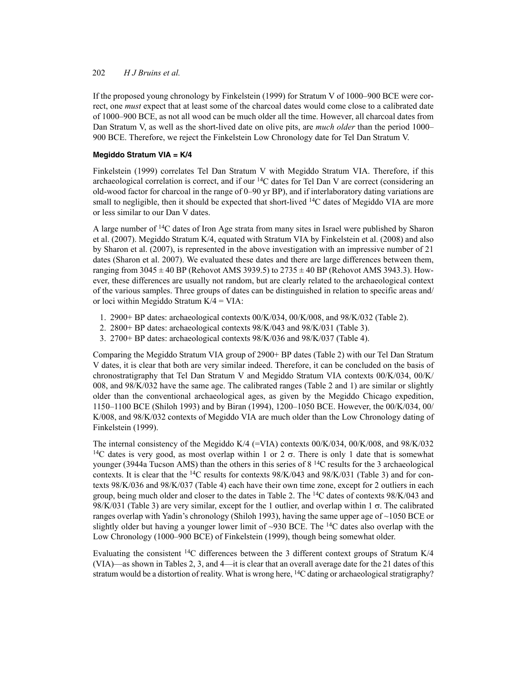If the proposed young chronology by Finkelstein (1999) for Stratum V of 1000–900 BCE were correct, one *must* expect that at least some of the charcoal dates would come close to a calibrated date of 1000–900 BCE, as not all wood can be much older all the time. However, all charcoal dates from Dan Stratum V, as well as the short-lived date on olive pits, are *much older* than the period 1000– 900 BCE. Therefore, we reject the Finkelstein Low Chronology date for Tel Dan Stratum V.

# **Megiddo Stratum VIA = K/4**

Finkelstein (1999) correlates Tel Dan Stratum V with Megiddo Stratum VIA. Therefore, if this archaeological correlation is correct, and if our  $14C$  dates for Tel Dan V are correct (considering an old-wood factor for charcoal in the range of 0–90 yr BP), and if interlaboratory dating variations are small to negligible, then it should be expected that short-lived  $14C$  dates of Megiddo VIA are more or less similar to our Dan V dates.

A large number of 14C dates of Iron Age strata from many sites in Israel were published by Sharon et al. (2007). Megiddo Stratum K/4, equated with Stratum VIA by Finkelstein et al. (2008) and also by Sharon et al. (2007), is represented in the above investigation with an impressive number of 21 dates (Sharon et al. 2007). We evaluated these dates and there are large differences between them, ranging from  $3045 \pm 40$  BP (Rehovot AMS 3939.5) to  $2735 \pm 40$  BP (Rehovot AMS 3943.3). However, these differences are usually not random, but are clearly related to the archaeological context of the various samples. Three groups of dates can be distinguished in relation to specific areas and/ or loci within Megiddo Stratum  $K/4 = VIA$ :

- 1. 2900+ BP dates: archaeological contexts 00/K/034, 00/K/008, and 98/K/032 (Table 2).
- 2. 2800+ BP dates: archaeological contexts 98/K/043 and 98/K/031 (Table 3).
- 3. 2700+ BP dates: archaeological contexts 98/K/036 and 98/K/037 (Table 4).

Comparing the Megiddo Stratum VIA group of 2900+ BP dates (Table 2) with our Tel Dan Stratum V dates, it is clear that both are very similar indeed. Therefore, it can be concluded on the basis of chronostratigraphy that Tel Dan Stratum V and Megiddo Stratum VIA contexts 00/K/034, 00/K/ 008, and 98/K/032 have the same age. The calibrated ranges (Table 2 and 1) are similar or slightly older than the conventional archaeological ages, as given by the Megiddo Chicago expedition, 1150–1100 BCE (Shiloh 1993) and by Biran (1994), 1200–1050 BCE. However, the 00/K/034, 00/ K/008, and 98/K/032 contexts of Megiddo VIA are much older than the Low Chronology dating of Finkelstein (1999).

The internal consistency of the Megiddo K/4 (=VIA) contexts  $00/K/034$ ,  $00/K/008$ , and  $98/K/032$ <sup>14</sup>C dates is very good, as most overlap within 1 or 2  $\sigma$ . There is only 1 date that is somewhat younger (3944a Tucson AMS) than the others in this series of 8<sup>14</sup>C results for the 3 archaeological contexts. It is clear that the <sup>14</sup>C results for contexts  $98/K/043$  and  $98/K/031$  (Table 3) and for contexts 98/K/036 and 98/K/037 (Table 4) each have their own time zone, except for 2 outliers in each group, being much older and closer to the dates in Table 2. The 14C dates of contexts 98/K/043 and  $98/K/031$  (Table 3) are very similar, except for the 1 outlier, and overlap within 1  $\sigma$ . The calibrated ranges overlap with Yadin's chronology (Shiloh 1993), having the same upper age of ~1050 BCE or slightly older but having a younger lower limit of  $\sim$ 930 BCE. The <sup>14</sup>C dates also overlap with the Low Chronology (1000–900 BCE) of Finkelstein (1999), though being somewhat older.

Evaluating the consistent 14C differences between the 3 different context groups of Stratum K/4 (VIA)—as shown in Tables 2, 3, and 4—it is clear that an overall average date for the 21 dates of this stratum would be a distortion of reality. What is wrong here,  $^{14}C$  dating or archaeological stratigraphy?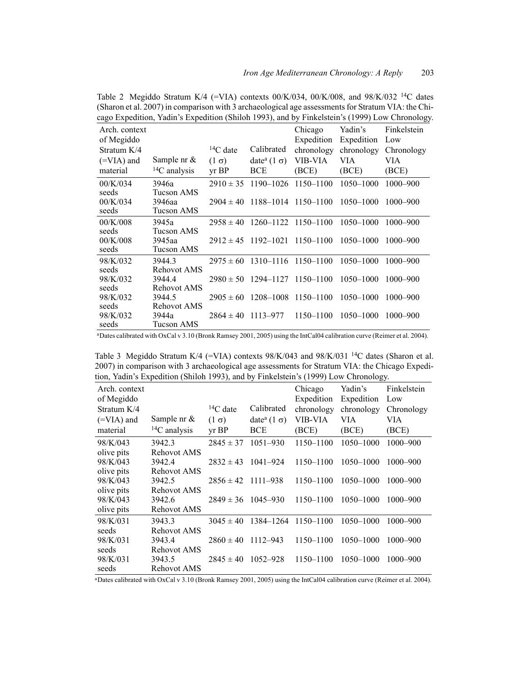|                     | cago Expedition, Taum 3 Expedition (Shifton 1999), and by Finicision S (1999) Low Chronology |               |                                |                     |               |              |
|---------------------|----------------------------------------------------------------------------------------------|---------------|--------------------------------|---------------------|---------------|--------------|
| Arch. context       |                                                                                              |               |                                | Chicago             | Yadin's       | Finkelstein  |
| of Megiddo          |                                                                                              |               |                                | Expedition          | Expedition    | Low          |
| Stratum K/4         |                                                                                              | $14C$ date    | Calibrated                     | chronology          | chronology    | Chronology   |
| $(=\text{VIA})$ and | Sample nr $&$                                                                                | $(1 \sigma)$  | date <sup>a</sup> $(1 \sigma)$ | VIB-VIA             | VIA           | VIA          |
| material            | ${}^{14}C$ analysis                                                                          | $yr$ BP       | <b>BCE</b>                     | (BCE)               | (BCE)         | (BCE)        |
| 00/K/034            | 3946a                                                                                        | $2910 \pm 35$ | 1190-1026                      | 1150-1100           | 1050-1000     | $1000 - 900$ |
| seeds               | Tucson AMS                                                                                   |               |                                |                     |               |              |
| 00/K/034            | 3946aa                                                                                       | $2904 \pm 40$ |                                | 1188-1014 1150-1100 | 1050-1000     | 1000-900     |
| seeds               | Tucson AMS                                                                                   |               |                                |                     |               |              |
| 00/K/008            | 3945a                                                                                        | $2958 \pm 40$ |                                | 1260-1122 1150-1100 | $1050 - 1000$ | $1000 - 900$ |
| seeds               | Tucson AMS                                                                                   |               | 1192-1021                      |                     | $1050 - 1000$ |              |
| 00/K/008<br>seeds   | 3945aa<br>Tucson AMS                                                                         | $2912 \pm 45$ |                                | 1150-1100           |               | $1000 - 900$ |
| 98/K/032            | 3944.3                                                                                       | $2975 \pm 60$ | 1310-1116                      | 1150-1100           | 1050-1000     | $1000 - 900$ |
| seeds               | Rehovot AMS                                                                                  |               |                                |                     |               |              |
| 98/K/032            | 3944.4                                                                                       | $2980 \pm 50$ | 1294–1127                      | $1150 - 1100$       | $1050 - 1000$ | $1000 - 900$ |
| seeds               | Rehovot AMS                                                                                  |               |                                |                     |               |              |
| 98/K/032            | 3944.5                                                                                       | $2905 \pm 60$ | 1208-1008                      | 1150-1100           | 1050-1000     | $1000 - 900$ |
| seeds               | Rehovot AMS                                                                                  |               |                                |                     |               |              |
| 98/K/032            | 3944a                                                                                        | $2864 \pm 40$ | 1113-977                       | 1150-1100           | 1050-1000     | $1000 - 900$ |
| seeds               | Tucson AMS                                                                                   |               |                                |                     |               |              |

Table 2 Megiddo Stratum K/4 (=VIA) contexts  $00/K/034$ ,  $00/K/008$ , and  $98/K/032$  <sup>14</sup>C dates (Sharon et al. 2007) in comparison with 3 archaeological age assessments for Stratum VIA: the Chicago Expedition, Yadin's Expedition (Shiloh 1993), and by Finkelstein's (1999) Low Chronology.

aDates calibrated with OxCal v 3.10 (Bronk Ramsey 2001, 2005) using the IntCal04 calibration curve (Reimer et al. 2004).

Table 3 Megiddo Stratum K/4 (=VIA) contexts  $98/K/043$  and  $98/K/031$  <sup>14</sup>C dates (Sharon et al. 2007) in comparison with 3 archaeological age assessments for Stratum VIA: the Chicago Expedition, Yadin's Expedition (Shiloh 1993), and by Finkelstein's (1999) Low Chronology.

| Arch. context |                     |                 |                                 | Chicago    | Yadin's       | Finkelstein  |
|---------------|---------------------|-----------------|---------------------------------|------------|---------------|--------------|
|               |                     |                 |                                 |            |               |              |
| of Megiddo    |                     |                 |                                 | Expedition | Expedition    | Low          |
| Stratum K/4   |                     | ${}^{14}C$ date | Calibrated                      | chronology | chronology    | Chronology   |
| $(=VIA)$ and  | Sample nr $\&$      | $(1 \sigma)$    | date <sup>a</sup> (1 $\sigma$ ) | VIB-VIA    | VIA           | VIA          |
| material      | ${}^{14}C$ analysis | $yr$ BP         | <b>BCE</b>                      | (BCE)      | (BCE)         | (BCE)        |
| 98/K/043      | 3942.3              | $2845 \pm 37$   | $1051 - 930$                    | 1150-1100  | 1050-1000     | $1000 - 900$ |
| olive pits    | Rehovot AMS         |                 |                                 |            |               |              |
| 98/K/043      | 3942.4              | $2832 \pm 43$   | 1041-924                        | 1150-1100  | 1050-1000     | $1000 - 900$ |
| olive pits    | Rehovot AMS         |                 |                                 |            |               |              |
| 98/K/043      | 3942.5              | $2856 \pm 42$   | $1111 - 938$                    | 1150-1100  | 1050-1000     | $1000 - 900$ |
| olive pits    | Rehovot AMS         |                 |                                 |            |               |              |
| 98/K/043      | 3942.6              | $2849 \pm 36$   | 1045–930                        | 1150-1100  | 1050-1000     | 1000-900     |
| olive pits    | Rehovot AMS         |                 |                                 |            |               |              |
| 98/K/031      | 3943.3              | $3045 \pm 40$   | 1384-1264                       | 1150-1100  | 1050-1000     | $1000 - 900$ |
| seeds         | Rehovot AMS         |                 |                                 |            |               |              |
| 98/K/031      | 3943.4              | $2860 \pm 40$   | 1112-943                        | 1150-1100  | 1050-1000     | $1000 - 900$ |
| seeds         | Rehovot AMS         |                 |                                 |            |               |              |
| 98/K/031      | 3943.5              | $2845 \pm 40$   | 1052-928                        | 1150-1100  | $1050 - 1000$ | 1000-900     |
| seeds         | Rehovot AMS         |                 |                                 |            |               |              |

aDates calibrated with OxCal v 3.10 (Bronk Ramsey 2001, 2005) using the IntCal04 calibration curve (Reimer et al. 2004).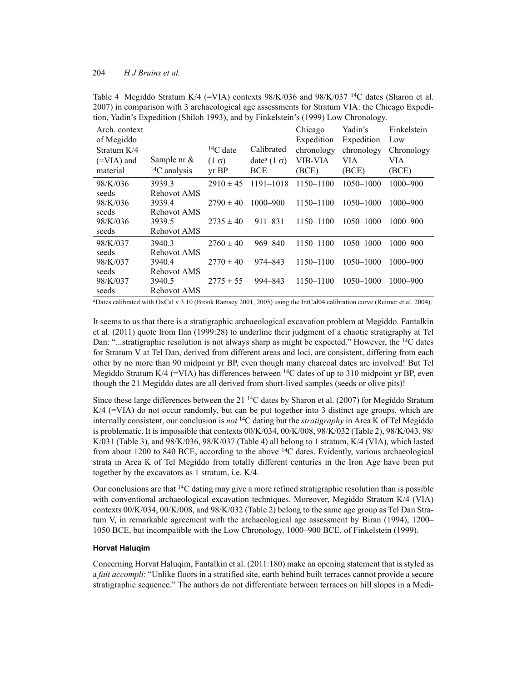| $1001, 10011$ s Expedition (Shingh 1779), and by I mixistem $3(1777)$ EOW Chronology. |                   |               |                                 |            |               |              |
|---------------------------------------------------------------------------------------|-------------------|---------------|---------------------------------|------------|---------------|--------------|
| Arch. context                                                                         |                   |               |                                 | Chicago    | Yadin's       | Finkelstein  |
| of Megiddo                                                                            |                   |               |                                 | Expedition | Expedition    | Low          |
| Stratum $K/4$                                                                         |                   | $14C$ date    | Calibrated                      | chronology | chronology    | Chronology   |
| $(=VIA)$ and                                                                          | Sample nr $\&$    | $(1 \sigma)$  | date <sup>a</sup> (1 $\sigma$ ) | VIB-VIA    | VIA           | VIA          |
| material                                                                              | $^{14}C$ analysis | $yr$ BP       | <b>BCE</b>                      | (BCE)      | (BCE)         | (BCE)        |
| 98/K/036                                                                              | 3939.3            | $2910 \pm 45$ | $1191 - 1018$                   | 1150-1100  | $1050 - 1000$ | 1000-900     |
| seeds                                                                                 | Rehovot AMS       |               |                                 |            |               |              |
| 98/K/036                                                                              | 3939.4            | $2790 \pm 40$ | $1000 - 900$                    | 1150-1100  | 1050-1000     | $1000 - 900$ |
| seeds                                                                                 | Rehovot AMS       |               |                                 |            |               |              |
| 98/K/036                                                                              | 3939.5            | $2735 \pm 40$ | $911 - 831$                     | 1150-1100  | $1050 - 1000$ | $1000 - 900$ |
| seeds                                                                                 | Rehovot AMS       |               |                                 |            |               |              |
| 98/K/037                                                                              | 3940.3            | $2760 \pm 40$ | $969 - 840$                     | 1150-1100  | 1050-1000     | $1000 - 900$ |
| seeds                                                                                 | Rehovot AMS       |               |                                 |            |               |              |
| 98/K/037                                                                              | 3940.4            | $2770 \pm 40$ | 974–843                         | 1150-1100  | 1050-1000     | $1000 - 900$ |
| seeds                                                                                 | Rehovot AMS       |               |                                 |            |               |              |
| 98/K/037                                                                              | 3940.5            | $2775 \pm 55$ | 994-843                         | 1150-1100  | 1050-1000     | $1000 - 900$ |
| seeds                                                                                 | Rehovot AMS       |               |                                 |            |               |              |

Table 4 Megiddo Stratum K/4 (=VIA) contexts  $98/K/036$  and  $98/K/037$  <sup>14</sup>C dates (Sharon et al. 2007) in comparison with 3 archaeological age assessments for Stratum VIA: the Chicago Expedition, Yadin's Expedition (Shiloh 1993), and by Finkelstein's (1999) Low Chronology.

aDates calibrated with OxCal v 3.10 (Bronk Ramsey 2001, 2005) using the IntCal04 calibration curve (Reimer et al. 2004).

It seems to us that there is a stratigraphic archaeological excavation problem at Megiddo. Fantalkin et al. (2011) quote from Ilan (1999:28) to underline their judgment of a chaotic stratigraphy at Tel Dan: "...stratigraphic resolution is not always sharp as might be expected." However, the <sup>14</sup>C dates for Stratum V at Tel Dan, derived from different areas and loci, are consistent, differing from each other by no more than 90 midpoint yr BP, even though many charcoal dates are involved! But Tel Megiddo Stratum K/4 (=VIA) has differences between  $^{14}$ C dates of up to 310 midpoint yr BP, even though the 21 Megiddo dates are all derived from short-lived samples (seeds or olive pits)!

Since these large differences between the 21  $\rm{^{14}C}$  dates by Sharon et al. (2007) for Megiddo Stratum  $K/4$  ( $=VIA$ ) do not occur randomly, but can be put together into 3 distinct age groups, which are internally consistent, our conclusion is *not* 14C dating but the *stratigraphy* in Area K of Tel Megiddo is problematic. It is impossible that contexts 00/K/034, 00/K/008, 98/K/032 (Table 2), 98/K/043, 98/ K/031 (Table 3), and 98/K/036, 98/K/037 (Table 4) all belong to 1 stratum, K/4 (VIA), which lasted from about 1200 to 840 BCE, according to the above  $^{14}$ C dates. Evidently, various archaeological strata in Area K of Tel Megiddo from totally different centuries in the Iron Age have been put together by the excavators as 1 stratum, i.e. K/4.

Our conclusions are that  ${}^{14}C$  dating may give a more refined stratigraphic resolution than is possible with conventional archaeological excavation techniques. Moreover, Megiddo Stratum K/4 (VIA) contexts 00/K/034, 00/K/008, and 98/K/032 (Table 2) belong to the same age group as Tel Dan Stratum V, in remarkable agreement with the archaeological age assessment by Biran (1994), 1200– 1050 BCE, but incompatible with the Low Chronology, 1000–900 BCE, of Finkelstein (1999).

### **Horvat Haluqim**

Concerning Horvat Haluqim, Fantalkin et al. (2011:180) make an opening statement that is styled as a *fait accompli*: "Unlike floors in a stratified site, earth behind built terraces cannot provide a secure stratigraphic sequence." The authors do not differentiate between terraces on hill slopes in a Medi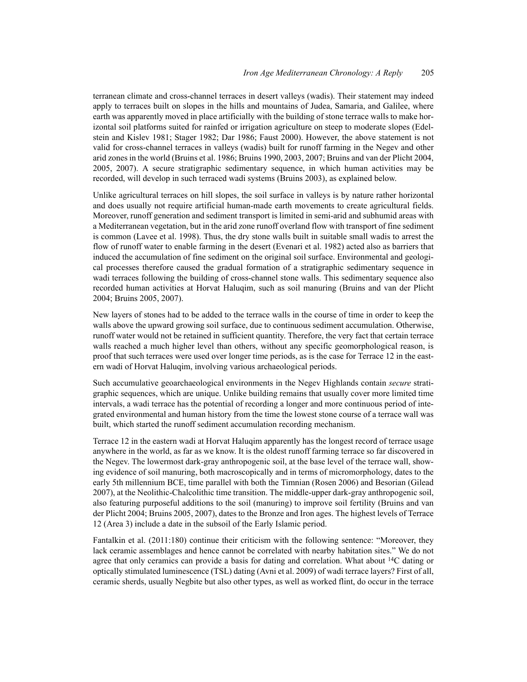terranean climate and cross-channel terraces in desert valleys (wadis). Their statement may indeed apply to terraces built on slopes in the hills and mountains of Judea, Samaria, and Galilee, where earth was apparently moved in place artificially with the building of stone terrace walls to make horizontal soil platforms suited for rainfed or irrigation agriculture on steep to moderate slopes (Edelstein and Kislev 1981; Stager 1982; Dar 1986; Faust 2000). However, the above statement is not valid for cross-channel terraces in valleys (wadis) built for runoff farming in the Negev and other arid zones in the world (Bruins et al. 1986; Bruins 1990, 2003, 2007; Bruins and van der Plicht 2004, 2005, 2007). A secure stratigraphic sedimentary sequence, in which human activities may be recorded, will develop in such terraced wadi systems (Bruins 2003), as explained below.

Unlike agricultural terraces on hill slopes, the soil surface in valleys is by nature rather horizontal and does usually not require artificial human-made earth movements to create agricultural fields. Moreover, runoff generation and sediment transport is limited in semi-arid and subhumid areas with a Mediterranean vegetation, but in the arid zone runoff overland flow with transport of fine sediment is common (Lavee et al. 1998). Thus, the dry stone walls built in suitable small wadis to arrest the flow of runoff water to enable farming in the desert (Evenari et al. 1982) acted also as barriers that induced the accumulation of fine sediment on the original soil surface. Environmental and geological processes therefore caused the gradual formation of a stratigraphic sedimentary sequence in wadi terraces following the building of cross-channel stone walls. This sedimentary sequence also recorded human activities at Horvat Haluqim, such as soil manuring (Bruins and van der Plicht 2004; Bruins 2005, 2007).

New layers of stones had to be added to the terrace walls in the course of time in order to keep the walls above the upward growing soil surface, due to continuous sediment accumulation. Otherwise, runoff water would not be retained in sufficient quantity. Therefore, the very fact that certain terrace walls reached a much higher level than others, without any specific geomorphological reason, is proof that such terraces were used over longer time periods, as is the case for Terrace 12 in the eastern wadi of Horvat Haluqim, involving various archaeological periods.

Such accumulative geoarchaeological environments in the Negev Highlands contain *secure* stratigraphic sequences, which are unique. Unlike building remains that usually cover more limited time intervals, a wadi terrace has the potential of recording a longer and more continuous period of integrated environmental and human history from the time the lowest stone course of a terrace wall was built, which started the runoff sediment accumulation recording mechanism.

Terrace 12 in the eastern wadi at Horvat Haluqim apparently has the longest record of terrace usage anywhere in the world, as far as we know. It is the oldest runoff farming terrace so far discovered in the Negev. The lowermost dark-gray anthropogenic soil, at the base level of the terrace wall, showing evidence of soil manuring, both macroscopically and in terms of micromorphology, dates to the early 5th millennium BCE, time parallel with both the Timnian (Rosen 2006) and Besorian (Gilead 2007), at the Neolithic-Chalcolithic time transition. The middle-upper dark-gray anthropogenic soil, also featuring purposeful additions to the soil (manuring) to improve soil fertility (Bruins and van der Plicht 2004; Bruins 2005, 2007), dates to the Bronze and Iron ages. The highest levels of Terrace 12 (Area 3) include a date in the subsoil of the Early Islamic period.

Fantalkin et al. (2011:180) continue their criticism with the following sentence: "Moreover, they lack ceramic assemblages and hence cannot be correlated with nearby habitation sites." We do not agree that only ceramics can provide a basis for dating and correlation. What about <sup>14</sup>C dating or optically stimulated luminescence (TSL) dating (Avni et al. 2009) of wadi terrace layers? First of all, ceramic sherds, usually Negbite but also other types, as well as worked flint, do occur in the terrace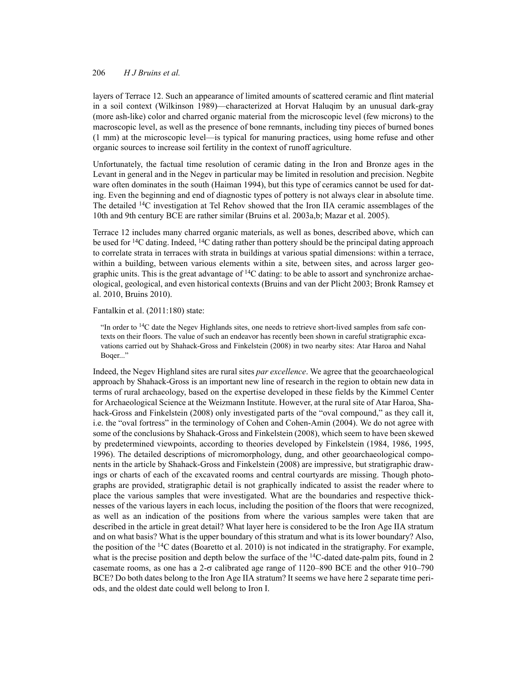layers of Terrace 12. Such an appearance of limited amounts of scattered ceramic and flint material in a soil context (Wilkinson 1989)—characterized at Horvat Haluqim by an unusual dark-gray (more ash-like) color and charred organic material from the microscopic level (few microns) to the macroscopic level, as well as the presence of bone remnants, including tiny pieces of burned bones (1 mm) at the microscopic level—is typical for manuring practices, using home refuse and other organic sources to increase soil fertility in the context of runoff agriculture.

Unfortunately, the factual time resolution of ceramic dating in the Iron and Bronze ages in the Levant in general and in the Negev in particular may be limited in resolution and precision. Negbite ware often dominates in the south (Haiman 1994), but this type of ceramics cannot be used for dating. Even the beginning and end of diagnostic types of pottery is not always clear in absolute time. The detailed 14C investigation at Tel Rehov showed that the Iron IIA ceramic assemblages of the 10th and 9th century BCE are rather similar (Bruins et al. 2003a,b; Mazar et al. 2005).

Terrace 12 includes many charred organic materials, as well as bones, described above, which can be used for 14C dating. Indeed, 14C dating rather than pottery should be the principal dating approach to correlate strata in terraces with strata in buildings at various spatial dimensions: within a terrace, within a building, between various elements within a site, between sites, and across larger geographic units. This is the great advantage of <sup>14</sup>C dating: to be able to assort and synchronize archaeological, geological, and even historical contexts (Bruins and van der Plicht 2003; Bronk Ramsey et al. 2010, Bruins 2010).

#### Fantalkin et al. (2011:180) state:

"In order to  $14C$  date the Negev Highlands sites, one needs to retrieve short-lived samples from safe contexts on their floors. The value of such an endeavor has recently been shown in careful stratigraphic excavations carried out by Shahack-Gross and Finkelstein (2008) in two nearby sites: Atar Haroa and Nahal Boqer..."

Indeed, the Negev Highland sites are rural sites *par excellence*. We agree that the geoarchaeological approach by Shahack-Gross is an important new line of research in the region to obtain new data in terms of rural archaeology, based on the expertise developed in these fields by the Kimmel Center for Archaeological Science at the Weizmann Institute. However, at the rural site of Atar Haroa, Shahack-Gross and Finkelstein (2008) only investigated parts of the "oval compound," as they call it, i.e. the "oval fortress" in the terminology of Cohen and Cohen-Amin (2004). We do not agree with some of the conclusions by Shahack-Gross and Finkelstein (2008), which seem to have been skewed by predetermined viewpoints, according to theories developed by Finkelstein (1984, 1986, 1995, 1996). The detailed descriptions of micromorphology, dung, and other geoarchaeological components in the article by Shahack-Gross and Finkelstein (2008) are impressive, but stratigraphic drawings or charts of each of the excavated rooms and central courtyards are missing. Though photographs are provided, stratigraphic detail is not graphically indicated to assist the reader where to place the various samples that were investigated. What are the boundaries and respective thicknesses of the various layers in each locus, including the position of the floors that were recognized, as well as an indication of the positions from where the various samples were taken that are described in the article in great detail? What layer here is considered to be the Iron Age IIA stratum and on what basis? What is the upper boundary of this stratum and what is its lower boundary? Also, the position of the  $^{14}$ C dates (Boaretto et al. 2010) is not indicated in the stratigraphy. For example, what is the precise position and depth below the surface of the  $14C$ -dated date-palm pits, found in 2 casemate rooms, as one has a  $2-\sigma$  calibrated age range of 1120–890 BCE and the other 910–790 BCE? Do both dates belong to the Iron Age IIA stratum? It seems we have here 2 separate time periods, and the oldest date could well belong to Iron I.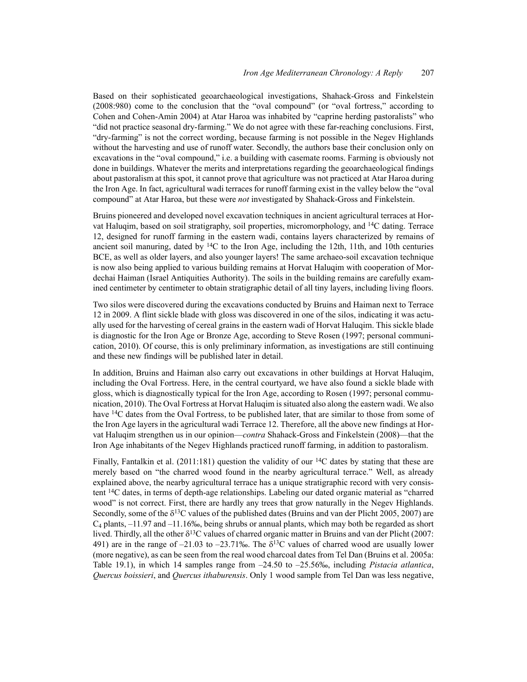Based on their sophisticated geoarchaeological investigations, Shahack-Gross and Finkelstein (2008:980) come to the conclusion that the "oval compound" (or "oval fortress," according to Cohen and Cohen-Amin 2004) at Atar Haroa was inhabited by "caprine herding pastoralists" who "did not practice seasonal dry-farming." We do not agree with these far-reaching conclusions. First, "dry-farming" is not the correct wording, because farming is not possible in the Negev Highlands without the harvesting and use of runoff water. Secondly, the authors base their conclusion only on excavations in the "oval compound," i.e. a building with casemate rooms. Farming is obviously not done in buildings. Whatever the merits and interpretations regarding the geoarchaeological findings about pastoralism at this spot, it cannot prove that agriculture was not practiced at Atar Haroa during the Iron Age. In fact, agricultural wadi terraces for runoff farming exist in the valley below the "oval compound" at Atar Haroa, but these were *not* investigated by Shahack-Gross and Finkelstein.

Bruins pioneered and developed novel excavation techniques in ancient agricultural terraces at Horvat Haluqim, based on soil stratigraphy, soil properties, micromorphology, and 14C dating. Terrace 12, designed for runoff farming in the eastern wadi, contains layers characterized by remains of ancient soil manuring, dated by <sup>14</sup>C to the Iron Age, including the 12th, 11th, and 10th centuries BCE, as well as older layers, and also younger layers! The same archaeo-soil excavation technique is now also being applied to various building remains at Horvat Haluqim with cooperation of Mordechai Haiman (Israel Antiquities Authority). The soils in the building remains are carefully examined centimeter by centimeter to obtain stratigraphic detail of all tiny layers, including living floors.

Two silos were discovered during the excavations conducted by Bruins and Haiman next to Terrace 12 in 2009. A flint sickle blade with gloss was discovered in one of the silos, indicating it was actually used for the harvesting of cereal grains in the eastern wadi of Horvat Haluqim. This sickle blade is diagnostic for the Iron Age or Bronze Age, according to Steve Rosen (1997; personal communication, 2010). Of course, this is only preliminary information, as investigations are still continuing and these new findings will be published later in detail.

In addition, Bruins and Haiman also carry out excavations in other buildings at Horvat Haluqim, including the Oval Fortress. Here, in the central courtyard, we have also found a sickle blade with gloss, which is diagnostically typical for the Iron Age, according to Rosen (1997; personal communication, 2010). The Oval Fortress at Horvat Haluqim is situated also along the eastern wadi. We also have <sup>14</sup>C dates from the Oval Fortress, to be published later, that are similar to those from some of the Iron Age layers in the agricultural wadi Terrace 12. Therefore, all the above new findings at Horvat Haluqim strengthen us in our opinion—*contra* Shahack-Gross and Finkelstein (2008)—that the Iron Age inhabitants of the Negev Highlands practiced runoff farming, in addition to pastoralism.

Finally, Fantalkin et al.  $(2011:181)$  question the validity of our <sup>14</sup>C dates by stating that these are merely based on "the charred wood found in the nearby agricultural terrace." Well, as already explained above, the nearby agricultural terrace has a unique stratigraphic record with very consistent 14C dates, in terms of depth-age relationships. Labeling our dated organic material as "charred wood" is not correct. First, there are hardly any trees that grow naturally in the Negev Highlands. Secondly, some of the  $\delta^{13}$ C values of the published dates (Bruins and van der Plicht 2005, 2007) are  $C_4$  plants,  $-11.97$  and  $-11.16\%$ , being shrubs or annual plants, which may both be regarded as short lived. Thirdly, all the other  $\delta^{13}C$  values of charred organic matter in Bruins and van der Plicht (2007: 491) are in the range of  $-21.03$  to  $-23.71\%$ . The  $\delta^{13}$ C values of charred wood are usually lower (more negative), as can be seen from the real wood charcoal dates from Tel Dan (Bruins et al. 2005a: Table 19.1), in which 14 samples range from –24.50 to –25.56‰, including *Pistacia atlantica*, *Quercus boissieri*, and *Quercus ithaburensis*. Only 1 wood sample from Tel Dan was less negative,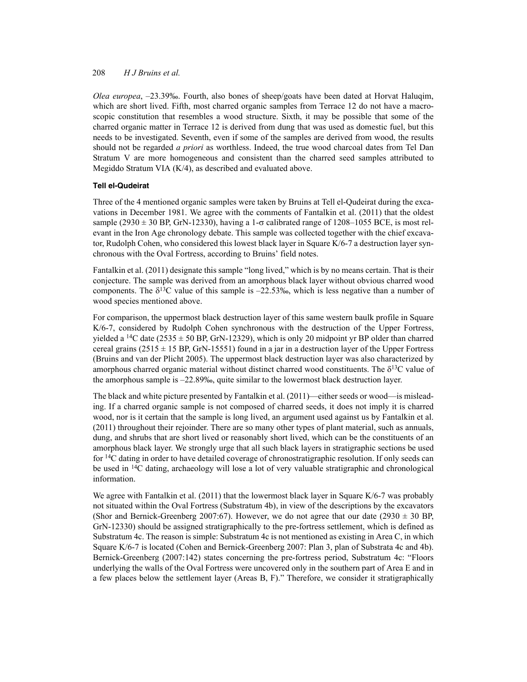*Olea europea*, –23.39‰. Fourth, also bones of sheep/goats have been dated at Horvat Haluqim, which are short lived. Fifth, most charred organic samples from Terrace 12 do not have a macroscopic constitution that resembles a wood structure. Sixth, it may be possible that some of the charred organic matter in Terrace 12 is derived from dung that was used as domestic fuel, but this needs to be investigated. Seventh, even if some of the samples are derived from wood, the results should not be regarded *a priori* as worthless. Indeed, the true wood charcoal dates from Tel Dan Stratum V are more homogeneous and consistent than the charred seed samples attributed to Megiddo Stratum VIA (K/4), as described and evaluated above.

# **Tell el-Qudeirat**

Three of the 4 mentioned organic samples were taken by Bruins at Tell el-Qudeirat during the excavations in December 1981. We agree with the comments of Fantalkin et al. (2011) that the oldest sample (2930  $\pm$  30 BP, GrN-12330), having a 1- $\sigma$  calibrated range of 1208–1055 BCE, is most relevant in the Iron Age chronology debate. This sample was collected together with the chief excavator, Rudolph Cohen, who considered this lowest black layer in Square K/6-7 a destruction layer synchronous with the Oval Fortress, according to Bruins' field notes.

Fantalkin et al. (2011) designate this sample "long lived," which is by no means certain. That is their conjecture. The sample was derived from an amorphous black layer without obvious charred wood components. The  $\delta^{13}$ C value of this sample is  $-22.53\%$ , which is less negative than a number of wood species mentioned above.

For comparison, the uppermost black destruction layer of this same western baulk profile in Square K/6-7, considered by Rudolph Cohen synchronous with the destruction of the Upper Fortress, yielded a <sup>14</sup>C date (2535  $\pm$  50 BP, GrN-12329), which is only 20 midpoint yr BP older than charred cereal grains ( $2515 \pm 15$  BP, GrN-15551) found in a jar in a destruction layer of the Upper Fortress (Bruins and van der Plicht 2005). The uppermost black destruction layer was also characterized by amorphous charred organic material without distinct charred wood constituents. The  $\delta^{13}C$  value of the amorphous sample is –22.89‰, quite similar to the lowermost black destruction layer.

The black and white picture presented by Fantalkin et al. (2011)—either seeds or wood—is misleading. If a charred organic sample is not composed of charred seeds, it does not imply it is charred wood, nor is it certain that the sample is long lived, an argument used against us by Fantalkin et al. (2011) throughout their rejoinder. There are so many other types of plant material, such as annuals, dung, and shrubs that are short lived or reasonably short lived, which can be the constituents of an amorphous black layer. We strongly urge that all such black layers in stratigraphic sections be used for 14C dating in order to have detailed coverage of chronostratigraphic resolution. If only seeds can be used in <sup>14</sup>C dating, archaeology will lose a lot of very valuable stratigraphic and chronological information.

We agree with Fantalkin et al. (2011) that the lowermost black layer in Square K/6-7 was probably not situated within the Oval Fortress (Substratum 4b), in view of the descriptions by the excavators (Shor and Bernick-Greenberg 2007:67). However, we do not agree that our date (2930  $\pm$  30 BP, GrN-12330) should be assigned stratigraphically to the pre-fortress settlement, which is defined as Substratum 4c. The reason is simple: Substratum 4c is not mentioned as existing in Area C, in which Square K/6-7 is located (Cohen and Bernick-Greenberg 2007: Plan 3, plan of Substrata 4c and 4b). Bernick-Greenberg (2007:142) states concerning the pre-fortress period, Substratum 4c: "Floors underlying the walls of the Oval Fortress were uncovered only in the southern part of Area E and in a few places below the settlement layer (Areas B, F)." Therefore, we consider it stratigraphically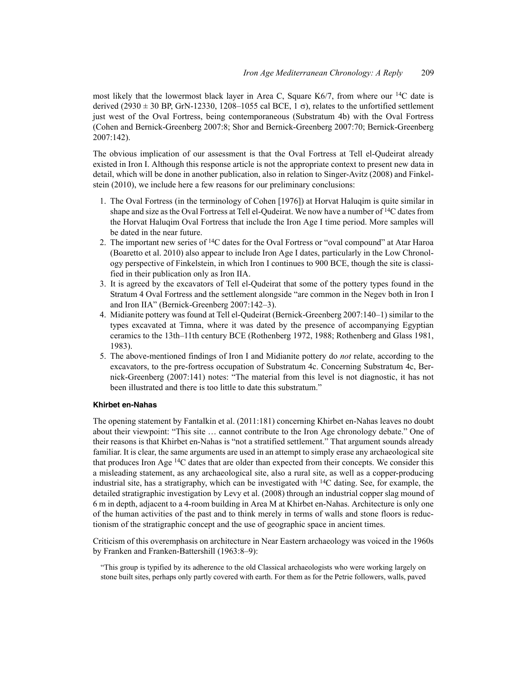most likely that the lowermost black layer in Area C, Square K6/7, from where our  $^{14}$ C date is derived (2930  $\pm$  30 BP, GrN-12330, 1208–1055 cal BCE, 1  $\sigma$ ), relates to the unfortified settlement just west of the Oval Fortress, being contemporaneous (Substratum 4b) with the Oval Fortress (Cohen and Bernick-Greenberg 2007:8; Shor and Bernick-Greenberg 2007:70; Bernick-Greenberg 2007:142).

The obvious implication of our assessment is that the Oval Fortress at Tell el-Qudeirat already existed in Iron I. Although this response article is not the appropriate context to present new data in detail, which will be done in another publication, also in relation to Singer-Avitz (2008) and Finkelstein (2010), we include here a few reasons for our preliminary conclusions:

- 1. The Oval Fortress (in the terminology of Cohen [1976]) at Horvat Haluqim is quite similar in shape and size as the Oval Fortress at Tell el-Qudeirat. We now have a number of  $14C$  dates from the Horvat Haluqim Oval Fortress that include the Iron Age I time period. More samples will be dated in the near future.
- 2. The important new series of 14C dates for the Oval Fortress or "oval compound" at Atar Haroa (Boaretto et al. 2010) also appear to include Iron Age I dates, particularly in the Low Chronology perspective of Finkelstein, in which Iron I continues to 900 BCE, though the site is classified in their publication only as Iron IIA.
- 3. It is agreed by the excavators of Tell el-Qudeirat that some of the pottery types found in the Stratum 4 Oval Fortress and the settlement alongside "are common in the Negev both in Iron I and Iron IIA" (Bernick-Greenberg 2007:142–3).
- 4. Midianite pottery was found at Tell el-Qudeirat (Bernick-Greenberg 2007:140–1) similar to the types excavated at Timna, where it was dated by the presence of accompanying Egyptian ceramics to the 13th–11th century BCE (Rothenberg 1972, 1988; Rothenberg and Glass 1981, 1983).
- 5. The above-mentioned findings of Iron I and Midianite pottery do *not* relate, according to the excavators, to the pre-fortress occupation of Substratum 4c. Concerning Substratum 4c, Bernick-Greenberg (2007:141) notes: "The material from this level is not diagnostic, it has not been illustrated and there is too little to date this substratum."

## **Khirbet en-Nahas**

The opening statement by Fantalkin et al. (2011:181) concerning Khirbet en-Nahas leaves no doubt about their viewpoint: "This site … cannot contribute to the Iron Age chronology debate." One of their reasons is that Khirbet en-Nahas is "not a stratified settlement." That argument sounds already familiar. It is clear, the same arguments are used in an attempt to simply erase any archaeological site that produces Iron Age 14C dates that are older than expected from their concepts. We consider this a misleading statement, as any archaeological site, also a rural site, as well as a copper-producing industrial site, has a stratigraphy, which can be investigated with 14C dating. See, for example, the detailed stratigraphic investigation by Levy et al. (2008) through an industrial copper slag mound of 6 m in depth, adjacent to a 4-room building in Area M at Khirbet en-Nahas. Architecture is only one of the human activities of the past and to think merely in terms of walls and stone floors is reductionism of the stratigraphic concept and the use of geographic space in ancient times.

Criticism of this overemphasis on architecture in Near Eastern archaeology was voiced in the 1960s by Franken and Franken-Battershill (1963:8–9):

"This group is typified by its adherence to the old Classical archaeologists who were working largely on stone built sites, perhaps only partly covered with earth. For them as for the Petrie followers, walls, paved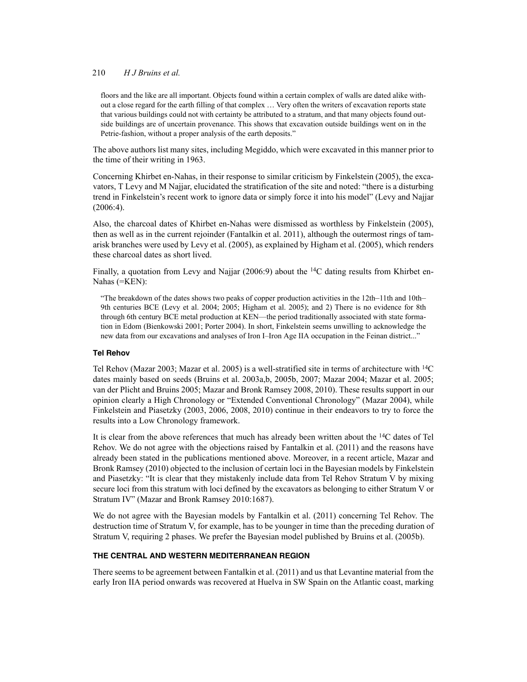floors and the like are all important. Objects found within a certain complex of walls are dated alike without a close regard for the earth filling of that complex … Very often the writers of excavation reports state that various buildings could not with certainty be attributed to a stratum, and that many objects found outside buildings are of uncertain provenance. This shows that excavation outside buildings went on in the Petrie-fashion, without a proper analysis of the earth deposits."

The above authors list many sites, including Megiddo, which were excavated in this manner prior to the time of their writing in 1963.

Concerning Khirbet en-Nahas, in their response to similar criticism by Finkelstein (2005), the excavators, T Levy and M Najjar, elucidated the stratification of the site and noted: "there is a disturbing trend in Finkelstein's recent work to ignore data or simply force it into his model" (Levy and Najjar (2006:4).

Also, the charcoal dates of Khirbet en-Nahas were dismissed as worthless by Finkelstein (2005), then as well as in the current rejoinder (Fantalkin et al. 2011), although the outermost rings of tamarisk branches were used by Levy et al. (2005), as explained by Higham et al. (2005), which renders these charcoal dates as short lived.

Finally, a quotation from Levy and Najjar (2006:9) about the  $14C$  dating results from Khirbet en-Nahas (=KEN):

"The breakdown of the dates shows two peaks of copper production activities in the 12th–11th and 10th– 9th centuries BCE (Levy et al. 2004; 2005; Higham et al. 2005); and 2) There is no evidence for 8th through 6th century BCE metal production at KEN—the period traditionally associated with state formation in Edom (Bienkowski 2001; Porter 2004). In short, Finkelstein seems unwilling to acknowledge the new data from our excavations and analyses of Iron I–Iron Age IIA occupation in the Feinan district..."

# **Tel Rehov**

Tel Rehov (Mazar 2003; Mazar et al. 2005) is a well-stratified site in terms of architecture with 14C dates mainly based on seeds (Bruins et al. 2003a,b, 2005b, 2007; Mazar 2004; Mazar et al. 2005; van der Plicht and Bruins 2005; Mazar and Bronk Ramsey 2008, 2010). These results support in our opinion clearly a High Chronology or "Extended Conventional Chronology" (Mazar 2004), while Finkelstein and Piasetzky (2003, 2006, 2008, 2010) continue in their endeavors to try to force the results into a Low Chronology framework.

It is clear from the above references that much has already been written about the  $^{14}C$  dates of Tel Rehov. We do not agree with the objections raised by Fantalkin et al. (2011) and the reasons have already been stated in the publications mentioned above. Moreover, in a recent article, Mazar and Bronk Ramsey (2010) objected to the inclusion of certain loci in the Bayesian models by Finkelstein and Piasetzky: "It is clear that they mistakenly include data from Tel Rehov Stratum V by mixing secure loci from this stratum with loci defined by the excavators as belonging to either Stratum V or Stratum IV" (Mazar and Bronk Ramsey 2010:1687).

We do not agree with the Bayesian models by Fantalkin et al. (2011) concerning Tel Rehov. The destruction time of Stratum V, for example, has to be younger in time than the preceding duration of Stratum V, requiring 2 phases. We prefer the Bayesian model published by Bruins et al. (2005b).

## **THE CENTRAL AND WESTERN MEDITERRANEAN REGION**

There seems to be agreement between Fantalkin et al. (2011) and us that Levantine material from the early Iron IIA period onwards was recovered at Huelva in SW Spain on the Atlantic coast, marking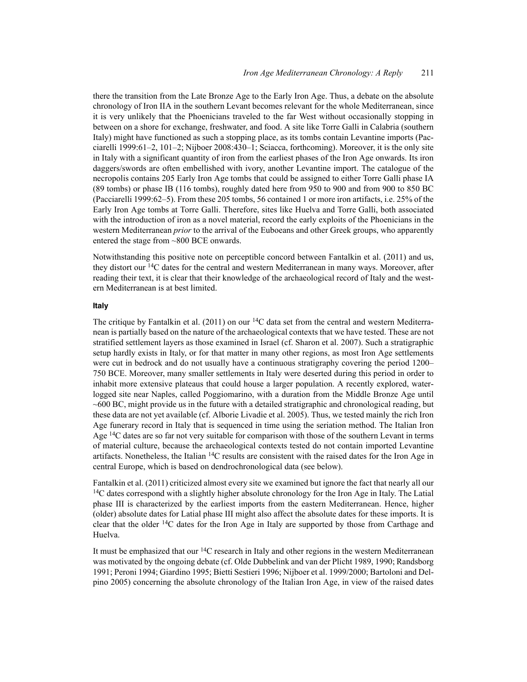there the transition from the Late Bronze Age to the Early Iron Age. Thus, a debate on the absolute chronology of Iron IIA in the southern Levant becomes relevant for the whole Mediterranean, since it is very unlikely that the Phoenicians traveled to the far West without occasionally stopping in between on a shore for exchange, freshwater, and food. A site like Torre Galli in Calabria (southern Italy) might have functioned as such a stopping place, as its tombs contain Levantine imports (Pacciarelli 1999:61–2, 101–2; Nijboer 2008:430–1; Sciacca, forthcoming). Moreover, it is the only site in Italy with a significant quantity of iron from the earliest phases of the Iron Age onwards. Its iron daggers/swords are often embellished with ivory, another Levantine import. The catalogue of the necropolis contains 205 Early Iron Age tombs that could be assigned to either Torre Galli phase IA (89 tombs) or phase IB (116 tombs), roughly dated here from 950 to 900 and from 900 to 850 BC (Pacciarelli 1999:62–5). From these 205 tombs, 56 contained 1 or more iron artifacts, i.e. 25% of the Early Iron Age tombs at Torre Galli. Therefore, sites like Huelva and Torre Galli, both associated with the introduction of iron as a novel material, record the early exploits of the Phoenicians in the western Mediterranean *prior* to the arrival of the Euboeans and other Greek groups, who apparently entered the stage from ~800 BCE onwards.

Notwithstanding this positive note on perceptible concord between Fantalkin et al. (2011) and us, they distort our 14C dates for the central and western Mediterranean in many ways. Moreover, after reading their text, it is clear that their knowledge of the archaeological record of Italy and the western Mediterranean is at best limited.

#### **Italy**

The critique by Fantalkin et al. (2011) on our <sup>14</sup>C data set from the central and western Mediterranean is partially based on the nature of the archaeological contexts that we have tested. These are not stratified settlement layers as those examined in Israel (cf. Sharon et al. 2007). Such a stratigraphic setup hardly exists in Italy, or for that matter in many other regions, as most Iron Age settlements were cut in bedrock and do not usually have a continuous stratigraphy covering the period 1200– 750 BCE. Moreover, many smaller settlements in Italy were deserted during this period in order to inhabit more extensive plateaus that could house a larger population. A recently explored, waterlogged site near Naples, called Poggiomarino, with a duration from the Middle Bronze Age until ~600 BC, might provide us in the future with a detailed stratigraphic and chronological reading, but these data are not yet available (cf. Alborie Livadie et al. 2005). Thus, we tested mainly the rich Iron Age funerary record in Italy that is sequenced in time using the seriation method. The Italian Iron Age <sup>14</sup>C dates are so far not very suitable for comparison with those of the southern Levant in terms of material culture, because the archaeological contexts tested do not contain imported Levantine artifacts. Nonetheless, the Italian 14C results are consistent with the raised dates for the Iron Age in central Europe, which is based on dendrochronological data (see below).

Fantalkin et al. (2011) criticized almost every site we examined but ignore the fact that nearly all our <sup>14</sup>C dates correspond with a slightly higher absolute chronology for the Iron Age in Italy. The Latial phase III is characterized by the earliest imports from the eastern Mediterranean. Hence, higher (older) absolute dates for Latial phase III might also affect the absolute dates for these imports. It is clear that the older  $14C$  dates for the Iron Age in Italy are supported by those from Carthage and Huelva.

It must be emphasized that our 14C research in Italy and other regions in the western Mediterranean was motivated by the ongoing debate (cf. Olde Dubbelink and van der Plicht 1989, 1990; Randsborg 1991; Peroni 1994; Giardino 1995; Bietti Sestieri 1996; Nijboer et al. 1999/2000; Bartoloni and Delpino 2005) concerning the absolute chronology of the Italian Iron Age, in view of the raised dates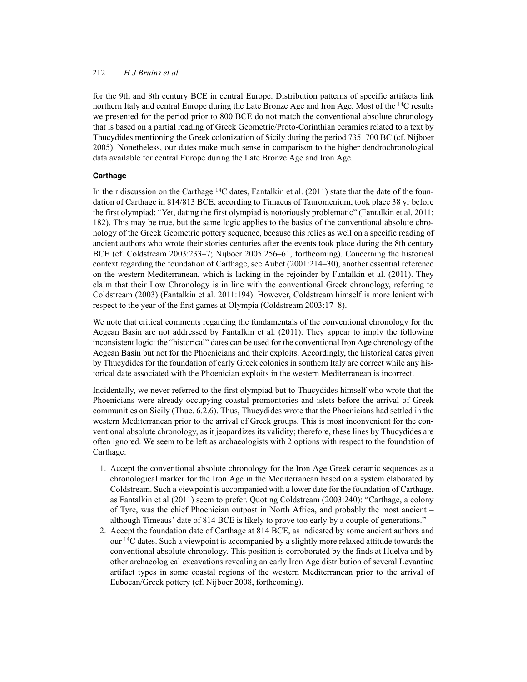for the 9th and 8th century BCE in central Europe. Distribution patterns of specific artifacts link northern Italy and central Europe during the Late Bronze Age and Iron Age. Most of the <sup>14</sup>C results we presented for the period prior to 800 BCE do not match the conventional absolute chronology that is based on a partial reading of Greek Geometric/Proto-Corinthian ceramics related to a text by Thucydides mentioning the Greek colonization of Sicily during the period 735–700 BC (cf. Nijboer 2005). Nonetheless, our dates make much sense in comparison to the higher dendrochronological data available for central Europe during the Late Bronze Age and Iron Age.

# **Carthage**

In their discussion on the Carthage  $14C$  dates, Fantalkin et al. (2011) state that the date of the foundation of Carthage in 814/813 BCE, according to Timaeus of Tauromenium, took place 38 yr before the first olympiad; "Yet, dating the first olympiad is notoriously problematic" (Fantalkin et al. 2011: 182). This may be true, but the same logic applies to the basics of the conventional absolute chronology of the Greek Geometric pottery sequence, because this relies as well on a specific reading of ancient authors who wrote their stories centuries after the events took place during the 8th century BCE (cf. Coldstream 2003:233–7; Nijboer 2005:256–61, forthcoming). Concerning the historical context regarding the foundation of Carthage, see Aubet (2001:214–30), another essential reference on the western Mediterranean, which is lacking in the rejoinder by Fantalkin et al. (2011). They claim that their Low Chronology is in line with the conventional Greek chronology, referring to Coldstream (2003) (Fantalkin et al. 2011:194). However, Coldstream himself is more lenient with respect to the year of the first games at Olympia (Coldstream 2003:17–8).

We note that critical comments regarding the fundamentals of the conventional chronology for the Aegean Basin are not addressed by Fantalkin et al. (2011). They appear to imply the following inconsistent logic: the "historical" dates can be used for the conventional Iron Age chronology of the Aegean Basin but not for the Phoenicians and their exploits. Accordingly, the historical dates given by Thucydides for the foundation of early Greek colonies in southern Italy are correct while any historical date associated with the Phoenician exploits in the western Mediterranean is incorrect.

Incidentally, we never referred to the first olympiad but to Thucydides himself who wrote that the Phoenicians were already occupying coastal promontories and islets before the arrival of Greek communities on Sicily (Thuc. 6.2.6). Thus, Thucydides wrote that the Phoenicians had settled in the western Mediterranean prior to the arrival of Greek groups. This is most inconvenient for the conventional absolute chronology, as it jeopardizes its validity; therefore, these lines by Thucydides are often ignored. We seem to be left as archaeologists with 2 options with respect to the foundation of Carthage:

- 1. Accept the conventional absolute chronology for the Iron Age Greek ceramic sequences as a chronological marker for the Iron Age in the Mediterranean based on a system elaborated by Coldstream. Such a viewpoint is accompanied with a lower date for the foundation of Carthage, as Fantalkin et al (2011) seem to prefer. Quoting Coldstream (2003:240): "Carthage, a colony of Tyre, was the chief Phoenician outpost in North Africa, and probably the most ancient – although Timeaus' date of 814 BCE is likely to prove too early by a couple of generations."
- 2. Accept the foundation date of Carthage at 814 BCE, as indicated by some ancient authors and our  $14C$  dates. Such a viewpoint is accompanied by a slightly more relaxed attitude towards the conventional absolute chronology. This position is corroborated by the finds at Huelva and by other archaeological excavations revealing an early Iron Age distribution of several Levantine artifact types in some coastal regions of the western Mediterranean prior to the arrival of Euboean/Greek pottery (cf. Nijboer 2008, forthcoming).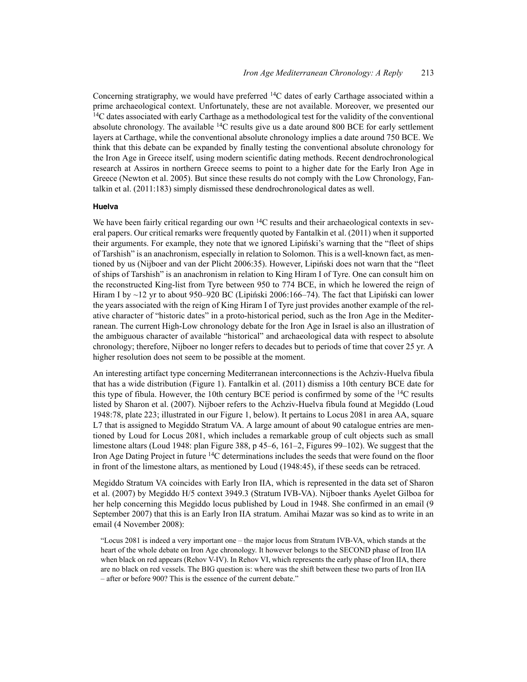Concerning stratigraphy, we would have preferred 14C dates of early Carthage associated within a prime archaeological context. Unfortunately, these are not available. Moreover, we presented our  $14C$  dates associated with early Carthage as a methodological test for the validity of the conventional absolute chronology. The available  $14C$  results give us a date around 800 BCE for early settlement layers at Carthage, while the conventional absolute chronology implies a date around 750 BCE. We think that this debate can be expanded by finally testing the conventional absolute chronology for the Iron Age in Greece itself, using modern scientific dating methods. Recent dendrochronological research at Assiros in northern Greece seems to point to a higher date for the Early Iron Age in Greece (Newton et al. 2005). But since these results do not comply with the Low Chronology, Fantalkin et al. (2011:183) simply dismissed these dendrochronological dates as well.

#### **Huelva**

We have been fairly critical regarding our own  $14C$  results and their archaeological contexts in several papers. Our critical remarks were frequently quoted by Fantalkin et al. (2011) when it supported their arguments. For example, they note that we ignored Lipinski's warning that the "fleet of ships" of Tarshish" is an anachronism, especially in relation to Solomon. This is a well-known fact, as mentioned by us (Nijboer and van der Plicht 2006:35). However, Lipiński does not warn that the "fleet of ships of Tarshish" is an anachronism in relation to King Hiram I of Tyre. One can consult him on the reconstructed King-list from Tyre between 950 to 774 BCE, in which he lowered the reign of Hiram I by  $\sim$ 12 yr to about 950–920 BC (Lipiński 2006:166–74). The fact that Lipiński can lower the years associated with the reign of King Hiram I of Tyre just provides another example of the relative character of "historic dates" in a proto-historical period, such as the Iron Age in the Mediterranean. The current High-Low chronology debate for the Iron Age in Israel is also an illustration of the ambiguous character of available "historical" and archaeological data with respect to absolute chronology; therefore, Nijboer no longer refers to decades but to periods of time that cover 25 yr. A higher resolution does not seem to be possible at the moment.

An interesting artifact type concerning Mediterranean interconnections is the Achziv-Huelva fibula that has a wide distribution (Figure 1). Fantalkin et al. (2011) dismiss a 10th century BCE date for this type of fibula. However, the 10th century BCE period is confirmed by some of the 14C results listed by Sharon et al. (2007). Nijboer refers to the Achziv-Huelva fibula found at Megiddo (Loud 1948:78, plate 223; illustrated in our Figure 1, below). It pertains to Locus 2081 in area AA, square L7 that is assigned to Megiddo Stratum VA. A large amount of about 90 catalogue entries are mentioned by Loud for Locus 2081, which includes a remarkable group of cult objects such as small limestone altars (Loud 1948: plan Figure 388, p 45–6, 161–2, Figures 99–102). We suggest that the Iron Age Dating Project in future 14C determinations includes the seeds that were found on the floor in front of the limestone altars, as mentioned by Loud (1948:45), if these seeds can be retraced.

Megiddo Stratum VA coincides with Early Iron IIA, which is represented in the data set of Sharon et al. (2007) by Megiddo H/5 context 3949.3 (Stratum IVB-VA). Nijboer thanks Ayelet Gilboa for her help concerning this Megiddo locus published by Loud in 1948. She confirmed in an email (9 September 2007) that this is an Early Iron IIA stratum. Amihai Mazar was so kind as to write in an email (4 November 2008):

"Locus 2081 is indeed a very important one – the major locus from Stratum IVB-VA, which stands at the heart of the whole debate on Iron Age chronology. It however belongs to the SECOND phase of Iron IIA when black on red appears (Rehov V-IV). In Rehov VI, which represents the early phase of Iron IIA, there are no black on red vessels. The BIG question is: where was the shift between these two parts of Iron IIA – after or before 900? This is the essence of the current debate."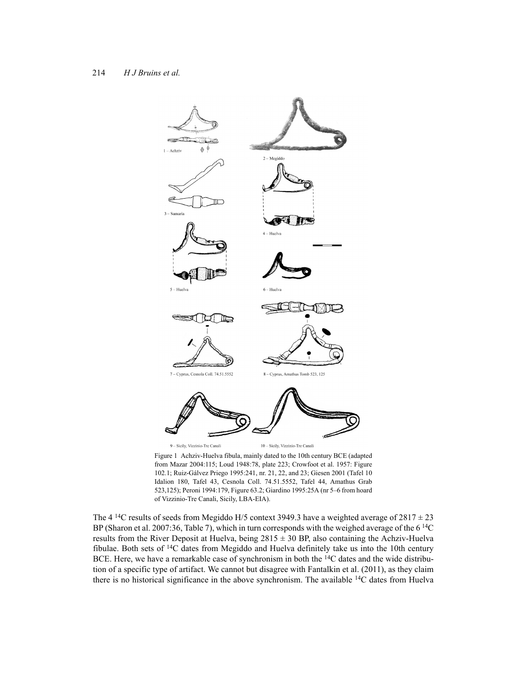

Figure 1 Achziv-Huelva fibula, mainly dated to the 10th century BCE (adapted from Mazar 2004:115; Loud 1948:78, plate 223; Crowfoot et al. 1957: Figure 102.1; Ruiz-Gálvez Priego 1995:241, nr. 21, 22, and 23; Giesen 2001 (Tafel 10 Idalion 180, Tafel 43, Cesnola Coll. 74.51.5552, Tafel 44, Amathus Grab 523,125); Peroni 1994:179, Figure 63.2; Giardino 1995:25A (nr 5–6 from hoard of Vizzinio-Tre Canali, Sicily, LBA-EIA).

The 4 <sup>14</sup>C results of seeds from Megiddo H/5 context 3949.3 have a weighted average of  $2817 \pm 23$ BP (Sharon et al. 2007:36, Table 7), which in turn corresponds with the weighed average of the  $6^{14}$ C results from the River Deposit at Huelva, being 2815 ± 30 BP, also containing the Achziv-Huelva fibulae. Both sets of 14C dates from Megiddo and Huelva definitely take us into the 10th century BCE. Here, we have a remarkable case of synchronism in both the 14C dates and the wide distribution of a specific type of artifact. We cannot but disagree with Fantalkin et al. (2011), as they claim there is no historical significance in the above synchronism. The available  $14C$  dates from Huelva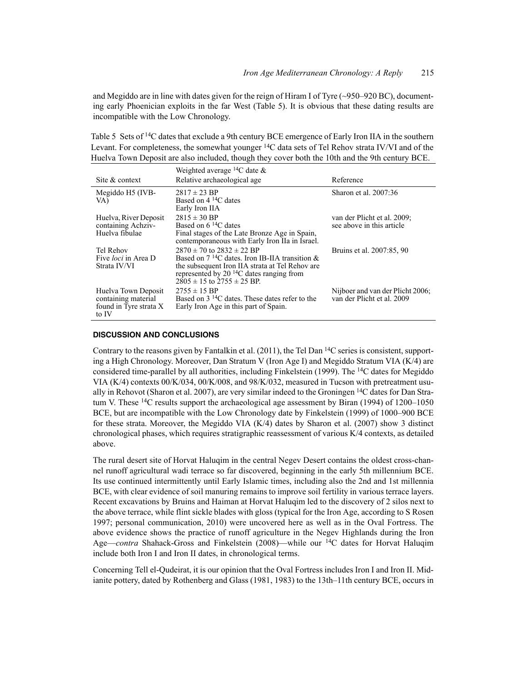and Megiddo are in line with dates given for the reign of Hiram I of Tyre (~950–920 BC), documenting early Phoenician exploits in the far West (Table 5). It is obvious that these dating results are incompatible with the Low Chronology.

Table 5 Sets of <sup>14</sup>C dates that exclude a 9th century BCE emergence of Early Iron IIA in the southern Levant. For completeness, the somewhat younger <sup>14</sup>C data sets of Tel Rehov strata IV/VI and of the Huelva Town Deposit are also included, though they cover both the 10th and the 9th century BCE.

| Site & context                                                                | Weighted average <sup>14</sup> C date $\&$<br>Relative archaeological age                                                                                                                                                                              | Reference                                                      |
|-------------------------------------------------------------------------------|--------------------------------------------------------------------------------------------------------------------------------------------------------------------------------------------------------------------------------------------------------|----------------------------------------------------------------|
| Megiddo H5 (IVB-<br>VA)                                                       | $2817 \pm 23$ BP<br>Based on $4^{14}$ C dates<br>Early Iron IIA                                                                                                                                                                                        | Sharon et al. 2007:36                                          |
| Huelva, River Deposit<br>containing Achziv-<br>Huelva fibulae                 | $2815 \pm 30$ BP<br>Based on $6^{14}$ C dates<br>Final stages of the Late Bronze Age in Spain,<br>contemporaneous with Early Iron IIa in Israel.                                                                                                       | van der Plicht et al. 2009;<br>see above in this article       |
| Tel Rehov<br>Five <i>loci</i> in Area D<br>Strata IV/VI                       | $2870 \pm 70$ to $2832 \pm 22$ BP<br>Based on $7^{14}$ C dates. Iron IB-IIA transition &<br>the subsequent Iron IIA strata at Tel Rehov are<br>represented by 20 <sup><math>14</math></sup> C dates ranging from<br>$2805 \pm 15$ to $2755 \pm 25$ BP. | Bruins et al. 2007:85, 90                                      |
| Huelva Town Deposit<br>containing material<br>found in Tyre strata X<br>to IV | $2755 \pm 15$ BP<br>Based on $3^{14}$ C dates. These dates refer to the<br>Early Iron Age in this part of Spain.                                                                                                                                       | Nijboer and van der Plicht 2006;<br>van der Plicht et al. 2009 |

### **DISCUSSION AND CONCLUSIONS**

Contrary to the reasons given by Fantalkin et al. (2011), the Tel Dan  $^{14}$ C series is consistent, supporting a High Chronology. Moreover, Dan Stratum V (Iron Age I) and Megiddo Stratum VIA (K/4) are considered time-parallel by all authorities, including Finkelstein (1999). The 14C dates for Megiddo VIA (K/4) contexts 00/K/034, 00/K/008, and 98/K/032, measured in Tucson with pretreatment usually in Rehovot (Sharon et al. 2007), are very similar indeed to the Groningen 14C dates for Dan Stratum V. These  ${}^{14}C$  results support the archaeological age assessment by Biran (1994) of 1200–1050 BCE, but are incompatible with the Low Chronology date by Finkelstein (1999) of 1000–900 BCE for these strata. Moreover, the Megiddo VIA (K/4) dates by Sharon et al. (2007) show 3 distinct chronological phases, which requires stratigraphic reassessment of various K/4 contexts, as detailed above.

The rural desert site of Horvat Haluqim in the central Negev Desert contains the oldest cross-channel runoff agricultural wadi terrace so far discovered, beginning in the early 5th millennium BCE. Its use continued intermittently until Early Islamic times, including also the 2nd and 1st millennia BCE, with clear evidence of soil manuring remains to improve soil fertility in various terrace layers. Recent excavations by Bruins and Haiman at Horvat Haluqim led to the discovery of 2 silos next to the above terrace, while flint sickle blades with gloss (typical for the Iron Age, according to S Rosen 1997; personal communication, 2010) were uncovered here as well as in the Oval Fortress. The above evidence shows the practice of runoff agriculture in the Negev Highlands during the Iron Age—*contra* Shahack-Gross and Finkelstein (2008)—while our 14C dates for Horvat Haluqim include both Iron I and Iron II dates, in chronological terms.

Concerning Tell el-Qudeirat, it is our opinion that the Oval Fortress includes Iron I and Iron II. Midianite pottery, dated by Rothenberg and Glass (1981, 1983) to the 13th–11th century BCE, occurs in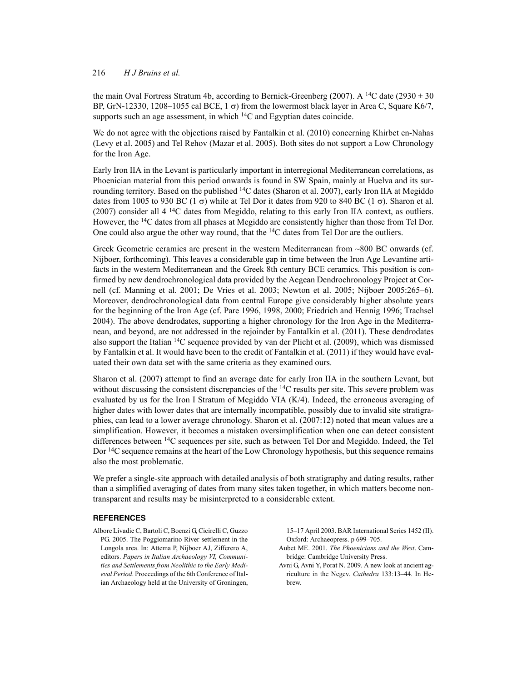the main Oval Fortress Stratum 4b, according to Bernick-Greenberg (2007). A <sup>14</sup>C date (2930  $\pm$  30 BP, GrN-12330, 1208–1055 cal BCE,  $1 \sigma$ ) from the lowermost black layer in Area C, Square K6/7, supports such an age assessment, in which <sup>14</sup>C and Egyptian dates coincide.

We do not agree with the objections raised by Fantalkin et al. (2010) concerning Khirbet en-Nahas (Levy et al. 2005) and Tel Rehov (Mazar et al. 2005). Both sites do not support a Low Chronology for the Iron Age.

Early Iron IIA in the Levant is particularly important in interregional Mediterranean correlations, as Phoenician material from this period onwards is found in SW Spain, mainly at Huelva and its surrounding territory. Based on the published <sup>14</sup>C dates (Sharon et al. 2007), early Iron IIA at Megiddo dates from 1005 to 930 BC (1  $\sigma$ ) while at Tel Dor it dates from 920 to 840 BC (1  $\sigma$ ). Sharon et al.  $(2007)$  consider all 4 <sup>14</sup>C dates from Megiddo, relating to this early Iron IIA context, as outliers. However, the 14C dates from all phases at Megiddo are consistently higher than those from Tel Dor. One could also argue the other way round, that the <sup>14</sup>C dates from Tel Dor are the outliers.

Greek Geometric ceramics are present in the western Mediterranean from ~800 BC onwards (cf. Nijboer, forthcoming). This leaves a considerable gap in time between the Iron Age Levantine artifacts in the western Mediterranean and the Greek 8th century BCE ceramics. This position is confirmed by new dendrochronological data provided by the Aegean Dendrochronology Project at Cornell (cf. Manning et al. 2001; De Vries et al. 2003; Newton et al. 2005; Nijboer 2005:265–6). Moreover, dendrochronological data from central Europe give considerably higher absolute years for the beginning of the Iron Age (cf. Pare 1996, 1998, 2000; Friedrich and Hennig 1996; Trachsel 2004). The above dendrodates, supporting a higher chronology for the Iron Age in the Mediterranean, and beyond, are not addressed in the rejoinder by Fantalkin et al. (2011). These dendrodates also support the Italian 14C sequence provided by van der Plicht et al. (2009), which was dismissed by Fantalkin et al. It would have been to the credit of Fantalkin et al. (2011) if they would have evaluated their own data set with the same criteria as they examined ours.

Sharon et al. (2007) attempt to find an average date for early Iron IIA in the southern Levant, but without discussing the consistent discrepancies of the  $14C$  results per site. This severe problem was evaluated by us for the Iron I Stratum of Megiddo VIA (K/4). Indeed, the erroneous averaging of higher dates with lower dates that are internally incompatible, possibly due to invalid site stratigraphies, can lead to a lower average chronology. Sharon et al. (2007:12) noted that mean values are a simplification. However, it becomes a mistaken oversimplification when one can detect consistent differences between 14C sequences per site, such as between Tel Dor and Megiddo. Indeed, the Tel Dor <sup>14</sup>C sequence remains at the heart of the Low Chronology hypothesis, but this sequence remains also the most problematic.

We prefer a single-site approach with detailed analysis of both stratigraphy and dating results, rather than a simplified averaging of dates from many sites taken together, in which matters become nontransparent and results may be misinterpreted to a considerable extent.

### **REFERENCES**

Albore Livadie C, Bartoli C, Boenzi G, Cicirelli C, Guzzo PG. 2005. The Poggiomarino River settlement in the Longola area. In: Attema P, Nijboer AJ, Zifferero A, editors. *Papers in Italian Archaeology VI, Communities and Settlements from Neolithic to the Early Medieval Period*. Proceedings of the 6th Conference of Italian Archaeology held at the University of Groningen,

15–17 April 2003. BAR International Series 1452 (II). Oxford: Archaeopress. p 699–705.

- Aubet ME. 2001. *The Phoenicians and the West*. Cambridge: Cambridge University Press.
- Avni G, Avni Y, Porat N. 2009. A new look at ancient agriculture in the Negev. *Cathedra* 133:13–44. In Hebrew.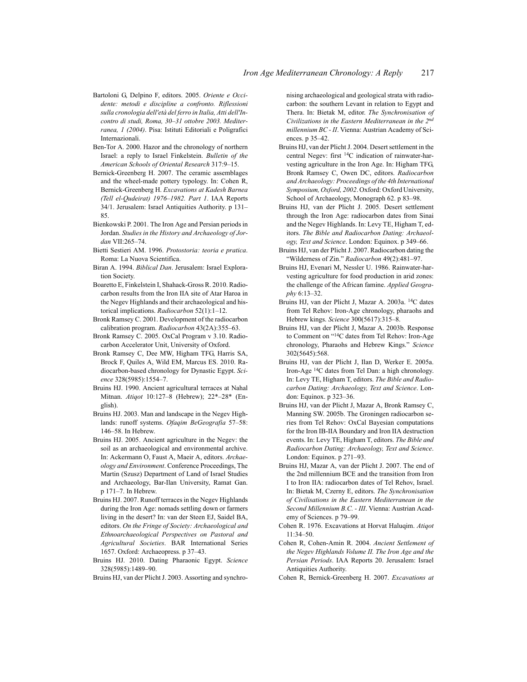- Bartoloni G, Delpino F, editors. 2005. *Oriente e Occidente: metodi e discipline a confronto. Riflessioni sulla cronologia dell'età del ferro in Italia, Atti dell'Incontro di studi, Roma, 30–31 ottobre 2003. Mediterranea, 1 (2004)*. Pisa: Istituti Editoriali e Poligrafici Internazionali.
- Ben-Tor A. 2000. Hazor and the chronology of northern Israel: a reply to Israel Finkelstein. *Bulletin of the American Schools of Oriental Research* 317:9–15.
- Bernick-Greenberg H. 2007. The ceramic assemblages and the wheel-made pottery typology. In: Cohen R, Bernick-Greenberg H. *Excavations at Kadesh Barnea (Tell el-Qudeirat) 1976–1982. Part 1*. IAA Reports 34/1. Jerusalem: Israel Antiquities Authority. p 131– 85.
- Bienkowski P. 2001. The Iron Age and Persian periods in Jordan. *Studies in the History and Archaeology of Jordan* VII:265–74.
- Bietti Sestieri AM. 1996. *Protostoria: teoria e pratica*. Roma: La Nuova Scientifica.
- Biran A. 1994. *Biblical Dan*. Jerusalem: Israel Exploration Society.
- Boaretto E, Finkelstein I, Shahack-Gross R. 2010. Radiocarbon results from the Iron IIA site of Atar Haroa in the Negev Highlands and their archaeological and historical implications. *Radiocarbon* 52(1):1–12.
- Bronk Ramsey C. 2001. Development of the radiocarbon calibration program. *Radiocarbon* 43(2A):355–63.
- Bronk Ramsey C. 2005. OxCal Program v 3.10. Radiocarbon Accelerator Unit, University of Oxford.
- Bronk Ramsey C, Dee MW, Higham TFG, Harris SA, Brock F, Quiles A, Wild EM, Marcus ES. 2010. Radiocarbon-based chronology for Dynastic Egypt. *Science* 328(5985):1554–7.
- Bruins HJ. 1990. Ancient agricultural terraces at Nahal Mitnan. *Atiqot* 10:127–8 (Hebrew); 22\*–28\* (English).
- Bruins HJ. 2003. Man and landscape in the Negev Highlands: runoff systems. *Ofaqim BeGeografia* 57–58: 146–58. In Hebrew.
- Bruins HJ. 2005. Ancient agriculture in the Negev: the soil as an archaeological and environmental archive. In: Ackermann O, Faust A, Maeir A, editors. *Archaeology and Environment*. Conference Proceedings, The Martin (Szusz) Department of Land of Israel Studies and Archaeology, Bar-Ilan University, Ramat Gan. p 171–7. In Hebrew.
- Bruins HJ. 2007. Runoff terraces in the Negev Highlands during the Iron Age: nomads settling down or farmers living in the desert? In: van der Steen EJ, Saidel BA, editors. *On the Fringe of Society: Archaeological and Ethnoarchaeological Perspectives on Pastoral and Agricultural Societies*. BAR International Series 1657. Oxford: Archaeopress. p 37–43.
- Bruins HJ. 2010. Dating Pharaonic Egypt. *Science* 328(5985):1489–90.
- Bruins HJ, van der Plicht J. 2003. Assorting and synchro-

nising archaeological and geological strata with radiocarbon: the southern Levant in relation to Egypt and Thera. In: Bietak M, editor. *The Synchronisation of Civilizations in the Eastern Mediterranean in the 2nd millennium BC - II*. Vienna: Austrian Academy of Sciences. p 35–42.

- Bruins HJ, van der Plicht J. 2004. Desert settlement in the central Negev: first 14C indication of rainwater-harvesting agriculture in the Iron Age. In: Higham TFG, Bronk Ramsey C, Owen DC, editors. *Radiocarbon and Archaeology: Proceedings of the 4th International Symposium, Oxford, 2002*. Oxford: Oxford University, School of Archaeology, Monograph 62. p 83–98.
- Bruins HJ, van der Plicht J. 2005. Desert settlement through the Iron Age: radiocarbon dates from Sinai and the Negev Highlands. In: Levy TE, Higham T, editors. *The Bible and Radiocarbon Dating: Archaeology, Text and Science*. London: Equinox. p 349–66.
- Bruins HJ, van der Plicht J. 2007. Radiocarbon dating the "Wilderness of Zin." *Radiocarbon* 49(2):481–97.
- Bruins HJ, Evenari M, Nessler U. 1986. Rainwater-harvesting agriculture for food production in arid zones: the challenge of the African famine. *Applied Geography* 6:13–32.
- Bruins HJ, van der Plicht J, Mazar A. 2003a. 14C dates from Tel Rehov: Iron-Age chronology, pharaohs and Hebrew kings. *Science* 300(5617):315–8.
- Bruins HJ, van der Plicht J, Mazar A. 2003b. Response to Comment on "14C dates from Tel Rehov: Iron-Age chronology, Pharaohs and Hebrew Kings." *Science* 302(5645):568.
- Bruins HJ, van der Plicht J, Ilan D, Werker E. 2005a. Iron-Age 14C dates from Tel Dan: a high chronology. In: Levy TE, Higham T, editors. *The Bible and Radiocarbon Dating: Archaeology, Text and Science*. London: Equinox. p 323–36.
- Bruins HJ, van der Plicht J, Mazar A, Bronk Ramsey C, Manning SW. 2005b. The Groningen radiocarbon series from Tel Rehov: OxCal Bayesian computations for the Iron IB-IIA Boundary and Iron IIA destruction events. In: Levy TE, Higham T, editors. *The Bible and Radiocarbon Dating: Archaeology, Text and Science*. London: Equinox. p 271–93.
- Bruins HJ, Mazar A, van der Plicht J. 2007. The end of the 2nd millennium BCE and the transition from Iron I to Iron IIA: radiocarbon dates of Tel Rehov, Israel. In: Bietak M, Czerny E, editors. *The Synchronisation of Civilisations in the Eastern Mediterranean in the Second Millennium B.C. - III*. Vienna: Austrian Academy of Sciences. p 79–99.
- Cohen R. 1976. Excavations at Horvat Haluqim. *Atiqot*  $11:34-50$
- Cohen R, Cohen-Amin R. 2004. *Ancient Settlement of the Negev Highlands Volume II. The Iron Age and the Persian Periods*. IAA Reports 20. Jerusalem: Israel Antiquities Authority.
- Cohen R, Bernick-Greenberg H. 2007. *Excavations at*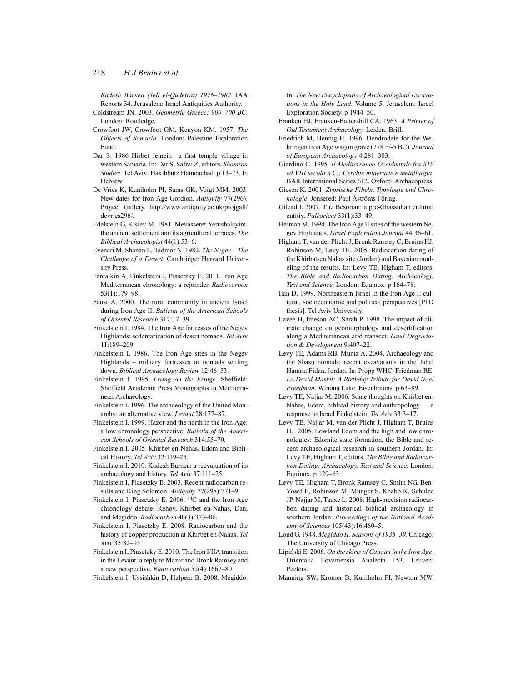*Kadesh Barnea (Tell el-Qudeirat) 1976–1982*. IAA Reports 34. Jerusalem: Israel Antiquities Authority.

- Coldstream JN. 2003. *Geometric Greece: 900–700 BC*. London: Routledge.
- Crowfoot JW, Crowfoot GM, Kenyon KM. 1957. *The Objects of Samaria*. London: Palestine Exploration Fund.
- Dar S. 1986 Hirbet Jemein—a first temple village in western Samaria. In: Dar S, Safrai Z, editors. *Shomron Studies*. Tel Aviv: Hakibbutz Hameuchad p 13–73. In **Hebrew**
- De Vries K, Kuniholm PI, Sams GK, Voigt MM. 2003. New dates for Iron Age Gordion. *Antiquity* 77(296): Project Gallery. http://www.antiquity.ac.uk/projgall/ devries<sub>296</sub>/
- Edelstein G, Kislev M. 1981. Mevasseret Yerushalayim: the ancient settlement and its agricultural terraces. *The Biblical Archaeologist* 44(1):53–6.
- Evenari M, Shanan L, Tadmor N. 1982. *The Negev The Challenge of a Desert*. Cambridge: Harvard University Press.
- Fantalkin A, Finkelstein I, Piasetzky E. 2011. Iron Age Mediterranean chronology: a rejoinder. *Radiocarbon* 53(1):179–98.
- Faust A. 2000. The rural community in ancient Israel during Iron Age II. *Bulletin of the American Schools of Oriental Research* 317:17–39.
- Finkelstein I. 1984. The Iron Age fortresses of the Negev Highlands: sedentarization of desert nomads. *Tel Avi*v 11:189–209.
- Finkelstein I. 1986. The Iron Age sites in the Negev Highlands – military fortresses or nomads settling down. *Biblical Archaeology Review* 12:46–53.
- Finkelstein I. 1995. *Living on the Fringe*. Sheffield: Sheffield Academic Press Monographs in Mediterranean Archaeology.
- Finkelstein I. 1996. The archaeology of the United Monarchy: an alternative view. *Levant* 28:177–87.
- Finkelstein I. 1999. Hazor and the north in the Iron Age: a low chronology perspective. *Bulletin of the American Schools of Oriental Research* 314:55–70.
- Finkelstein I. 2005. Khirbet en-Nahas, Edom and Biblical History. *Tel Aviv* 32:119–25.
- Finkelstein I. 2010. Kadesh Barnea: a reevaluation of its archaeology and history. *Tel Aviv* 37:111–25.
- Finkelstein I, Piasetzky E. 2003. Recent radiocarbon results and King Solomon. *Antiquity* 77(298):771–9.
- Finkelstein I, Piasetzky E. 2006. 14C and the Iron Age chronology debate: Rehov, Khirbet en-Nahas, Dan, and Megiddo. *Radiocarbon* 48(3):373–86.
- Finkelstein I, Piasetzky E. 2008. Radiocarbon and the history of copper production at Khirbet en-Nahas. *Tel Aviv* 35:82–95.
- Finkelstein I, Piasetzky E. 2010. The Iron I/IIA transition in the Levant: a reply to Mazar and Bronk Ramsey and a new perspective. *Radiocarbon* 52(4):1667–80.
- Finkelstein I, Ussishkin D, Halpern B. 2008. Megiddo.

In: *The New Encyclopedia of Archaeological Excavations in the Holy Land*. Volume 5. Jerusalem: Israel Exploration Society. p 1944–50.

- Franken HJ, Franken-Battershill CA. 1963. *A Primer of Old Testament Archaeology*. Leiden: Brill.
- Friedrich M, Hennig H. 1996. Dendrodate for the Wehringen Iron Age wagon grave (778 +/-5 BC). *Journal of European Archaeology* 4:281–303.
- Giardino C. 1995. *Il Mediterraneo Occidentale fra XIV ed VIII secolo a.C.; Cerchie minerarie e metallurgia*. BAR International Series 612. Oxford: Archaeopress.
- Giesen K. 2001. *Zyprische Fibeln, Typologie und Chronologie*. Jonsered: Paul Åströms Förlag.
- Gilead I. 2007. The Besorian: a pre-Ghassulian cultural entitiy. *Paléorient* 33(1):33–49.
- Haiman M. 1994. The Iron Age II sites of the western Negev Highlands. *Israel Exploration Journal* 44:36–61.
- Higham T, van der Plicht J, Bronk Ramsey C, Bruins HJ, Robinson M, Levy TE. 2005. Radiocarbon dating of the Khirbat-en Nahas site (Jordan) and Bayesian modeling of the results. In: Levy TE, Higham T, editors. *The Bible and Radiocarbon Dating: Archaeology, Text and Science*. London: Equinox. p 164–78.
- Ilan D. 1999. Northeastern Israel in the Iron Age I: cultural, socioeconomic and political perspectives [PhD thesis]. Tel Aviv University.
- Lavee H, Imeson AC, Sarah P. 1998. The impact of climate change on geomorphology and desertification along a Mediterranean arid transect. *Land Degradation & Development* 9:407–22.
- Levy TE, Adams RB, Muniz A. 2004. Archaeology and the Shasu nomads: recent excavations in the Jabal Hamrat Fidan, Jordan. In: Propp WHC, Friedman RE. *Le-David Maskil: A Birthday Tribute for David Noel Freedman*. Winona Lake: Eisenbrauns. p 63–89.
- Levy TE, Najjar M. 2006. Some thoughts on Khirbet en-Nahas, Edom, biblical history and anthropology — a response to Israel Finkelstein. *Tel Aviv* 33:3–17.
- Levy TE, Najjar M, van der Plicht J, Higham T, Bruins HJ. 2005. Lowland Edom and the high and low chronologies: Edomite state formation, the Bible and recent archaeological research in southern Jordan. In: Levy TE, Higham T, editors. *The Bible and Radiocarbon Dating: Archaeology, Text and Science*. London: Equinox. p 129–63.
- Levy TE, Higham T, Bronk Ramsey C, Smith NG, Ben-Yosef E, Robinson M, Munger S, Knabb K, Schulze JP, Najjar M, Tauxe L. 2008. High-precision radiocarbon dating and historical biblical archaeology in southern Jordan. *Proceedings of the National Academy of Sciences* 105(43):16,460–5.
- Loud G. 1948. *Megiddo II, Seasons of 1935–39*. Chicago: The University of Chicago Press.
- Lipiński E. 2006. *On the skirts of Canaan in the Iron Age*. Orientalia Lovaniensia Analecta 153. Leuven: Peeters.
- Manning SW, Kromer B, Kuniholm PI, Newton MW.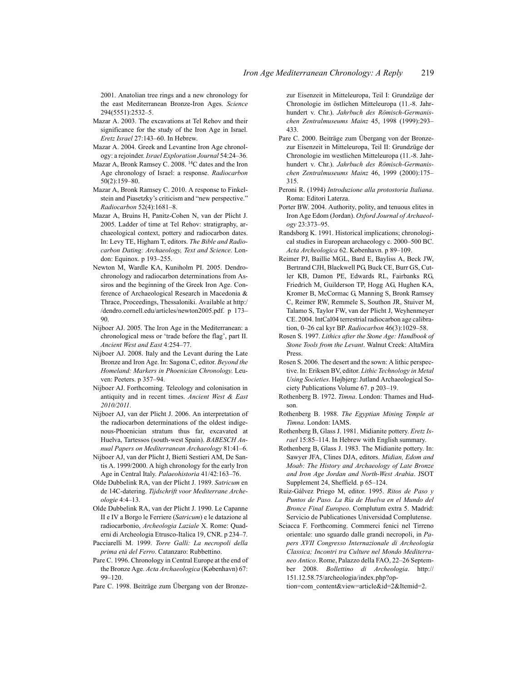2001. Anatolian tree rings and a new chronology for the east Mediterranean Bronze-Iron Ages. *Science* 294(5551):2532–5.

- Mazar A. 2003. The excavations at Tel Rehov and their significance for the study of the Iron Age in Israel. *Eretz Israel* 27:143–60. In Hebrew.
- Mazar A. 2004. Greek and Levantine Iron Age chronology: a rejoinder. *Israel Exploration Journal* 54:24–36.
- Mazar A, Bronk Ramsey C. 2008. 14C dates and the Iron Age chronology of Israel: a response. *Radiocarbon* 50(2):159–80.
- Mazar A, Bronk Ramsey C. 2010. A response to Finkelstein and Piasetzky's criticism and "new perspective." *Radiocarbon* 52(4):1681–8.
- Mazar A, Bruins H, Panitz-Cohen N, van der Plicht J. 2005. Ladder of time at Tel Rehov: stratigraphy, archaeological context, pottery and radiocarbon dates. In: Levy TE, Higham T, editors. *The Bible and Radiocarbon Dating: Archaeology, Text and Science*. London: Equinox. p 193–255.
- Newton M, Wardle KA, Kuniholm PI. 2005. Dendrochronology and radiocarbon determinations from Assiros and the beginning of the Greek Iron Age. Conference of Archaeological Research in Macedonia & Thrace, Proceedings, Thessaloniki. Available at http:/ /dendro.cornell.edu/articles/newton2005.pdf. p 173– 90.
- Nijboer AJ. 2005. The Iron Age in the Mediterranean: a chronological mess or 'trade before the flag', part II. *Ancient West and East* 4:254–77.
- Nijboer AJ. 2008. Italy and the Levant during the Late Bronze and Iron Age. In: Sagona C, editor. *Beyond the Homeland: Markers in Phoenician Chronology*. Leuven: Peeters. p 357–94.
- Nijboer AJ. Forthcoming. Teleology and colonisation in antiquity and in recent times. *Ancient West & East 2010/2011*.
- Nijboer AJ, van der Plicht J. 2006. An interpretation of the radiocarbon determinations of the oldest indigenous-Phoenician stratum thus far, excavated at Huelva, Tartessos (south-west Spain). *BABESCH Annual Papers on Mediterranean Archaeology* 81:41–6.
- Nijboer AJ, van der Plicht J, Bietti Sestieri AM, De Santis A. 1999/2000. A high chronology for the early Iron Age in Central Italy. *Palaeohistoria* 41/42:163–76.
- Olde Dubbelink RA, van der Plicht J. 1989. *Satricum* en de 14C-datering. *Tijdschrift voor Mediterrane Archeologie* 4:4–13.
- Olde Dubbelink RA, van der Plicht J. 1990. Le Capanne II e IV a Borgo le Ferriere (*Satricum*) e le datazione al radiocarbonio, *Archeologia Laziale* X. Rome: Quaderni di Archeologia Etrusco-Italica 19, CNR. p 234–7.
- Pacciarelli M. 1999. *Torre Galli: La necropoli della prima età del Ferro*. Catanzaro: Rubbettino.
- Pare C. 1996. Chronology in Central Europe at the end of the Bronze Age. *Acta Archaeologica* (København) 67: 99–120.
- Pare C. 1998. Beiträge zum Übergang von der Bronze-

zur Eisenzeit in Mitteleuropa, Teil I: Grundzüge der Chronologie im östlichen Mitteleuropa (11.-8. Jahrhundert v. Chr.). *Jahrbuch des Römisch-Germanischen Zentralmuseums Mainz* 45, 1998 (1999):293– 433.

- Pare C. 2000. Beiträge zum Übergang von der Bronzezur Eisenzeit in Mitteleuropa, Teil II: Grundzüge der Chronologie im westlichen Mitteleuropa (11.-8. Jahrhundert v. Chr.). *Jahrbuch des Römisch-Germanischen Zentralmuseums Mainz* 46, 1999 (2000):175– 315.
- Peroni R. (1994) *Introduzione alla protostoria Italiana*. Roma: Editori Laterza.
- Porter BW. 2004. Authority, polity, and tenuous elites in Iron Age Edom (Jordan). *Oxford Journal of Archaeology* 23:373–95.
- Randsborg K. 1991. Historical implications; chronological studies in European archaeology c. 2000–500 BC. *Acta Archeologica* 62. København. p 89–109.
- Reimer PJ, Baillie MGL, Bard E, Bayliss A, Beck JW, Bertrand CJH, Blackwell PG, Buck CE, Burr GS, Cutler KB, Damon PE, Edwards RL, Fairbanks RG, Friedrich M, Guilderson TP, Hogg AG, Hughen KA, Kromer B, McCormac G, Manning S, Bronk Ramsey C, Reimer RW, Remmele S, Southon JR, Stuiver M, Talamo S, Taylor FW, van der Plicht J, Weyhenmeyer CE. 2004. IntCal04 terrestrial radiocarbon age calibration, 0–26 cal kyr BP. *Radiocarbon* 46(3):1029–58.
- Rosen S. 1997. *Lithics after the Stone Age: Handbook of Stone Tools from the Levant*. Walnut Creek: AltaMira Press.
- Rosen S. 2006. The desert and the sown: A lithic perspective. In: Eriksen BV, editor. *Lithic Technology in Metal Using Societies*. Højbjerg: Jutland Archaeological Society Publications Volume 67. p 203–19.
- Rothenberg B. 1972. *Timna*. London: Thames and Hudson.
- Rothenberg B. 1988. *The Egyptian Mining Temple at Timna*. London: IAMS.
- Rothenberg B, Glass J. 1981. Midianite pottery. *Eretz Israel* 15:85–114. In Hebrew with English summary.
- Rothenberg B, Glass J. 1983. The Midianite pottery. In: Sawyer JFA, Clines DJA, editors. *Midian, Edom and Moab: The History and Archaeology of Late Bronze and Iron Age Jordan and North-West Arabia*. JSOT Supplement 24, Sheffield. p 65–124.
- Ruiz-Gálvez Priego M, editor. 1995. *Ritos de Paso y Puntos de Paso. La Ría de Huelva en el Mundo del Bronce Final Europeo*. Complutum extra 5. Madrid: Servicio de Publicationes Universidad Complutense.
- Sciacca F. Forthcoming. Commerci fenici nel Tirreno orientale: uno sguardo dalle grandi necropoli, in *Papers XVII Congresso Internazionale di Archeologia Classica; Incontri tra Culture nel Mondo Mediterraneo Antico*. Rome, Palazzo della FAO, 22–26 September 2008. *Bollettino di Archeologia*. http:// 151.12.58.75/archeologia/index.php?op-

tion=com\_content&view=article&id=2&Itemid=2.